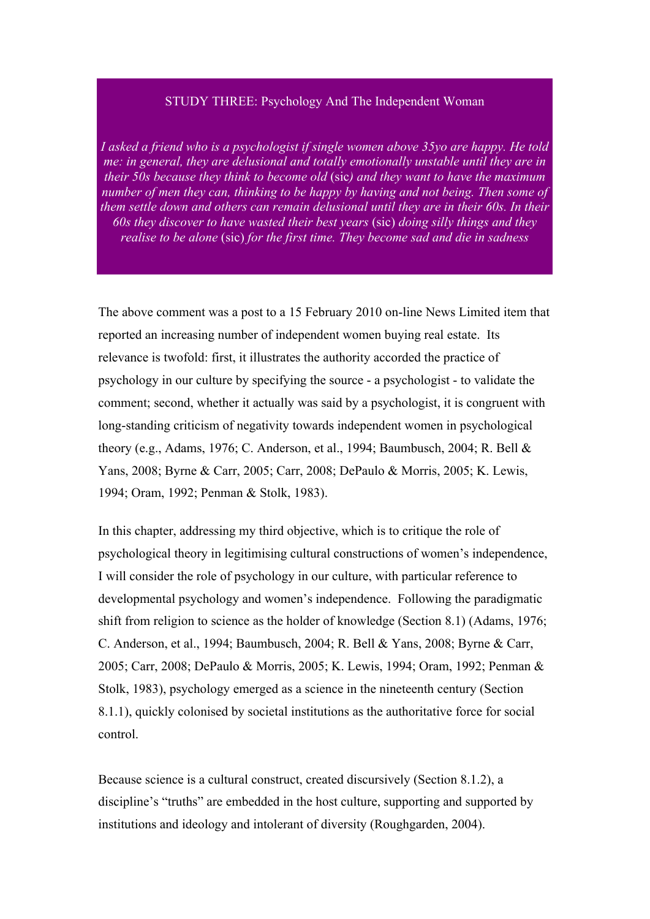# STUDY THREE: Psychology And The Independent Woman

*I asked a friend who is a psychologist if single women above 35yo are happy. He told me: in general, they are delusional and totally emotionally unstable until they are in their 50s because they think to become old* (sic*) and they want to have the maximum number of men they can, thinking to be happy by having and not being. Then some of them settle down and others can remain delusional until they are in their 60s. In their 60s they discover to have wasted their best years* (sic) *doing silly things and they realise to be alone* (sic) *for the first time. They become sad and die in sadness*

The above comment was a post to a 15 February 2010 on-line News Limited item that reported an increasing number of independent women buying real estate. Its relevance is twofold: first, it illustrates the authority accorded the practice of psychology in our culture by specifying the source - a psychologist - to validate the comment; second, whether it actually was said by a psychologist, it is congruent with long-standing criticism of negativity towards independent women in psychological theory (e.g., Adams, 1976; C. Anderson, et al., 1994; Baumbusch, 2004; R. Bell & Yans, 2008; Byrne & Carr, 2005; Carr, 2008; DePaulo & Morris, 2005; K. Lewis, 1994; Oram, 1992; Penman & Stolk, 1983).

In this chapter, addressing my third objective, which is to critique the role of psychological theory in legitimising cultural constructions of women's independence, I will consider the role of psychology in our culture, with particular reference to developmental psychology and women's independence. Following the paradigmatic shift from religion to science as the holder of knowledge (Section 8.1) (Adams, 1976; C. Anderson, et al., 1994; Baumbusch, 2004; R. Bell & Yans, 2008; Byrne & Carr, 2005; Carr, 2008; DePaulo & Morris, 2005; K. Lewis, 1994; Oram, 1992; Penman & Stolk, 1983), psychology emerged as a science in the nineteenth century (Section 8.1.1), quickly colonised by societal institutions as the authoritative force for social control.

Because science is a cultural construct, created discursively (Section 8.1.2), a discipline's "truths" are embedded in the host culture, supporting and supported by institutions and ideology and intolerant of diversity (Roughgarden, 2004).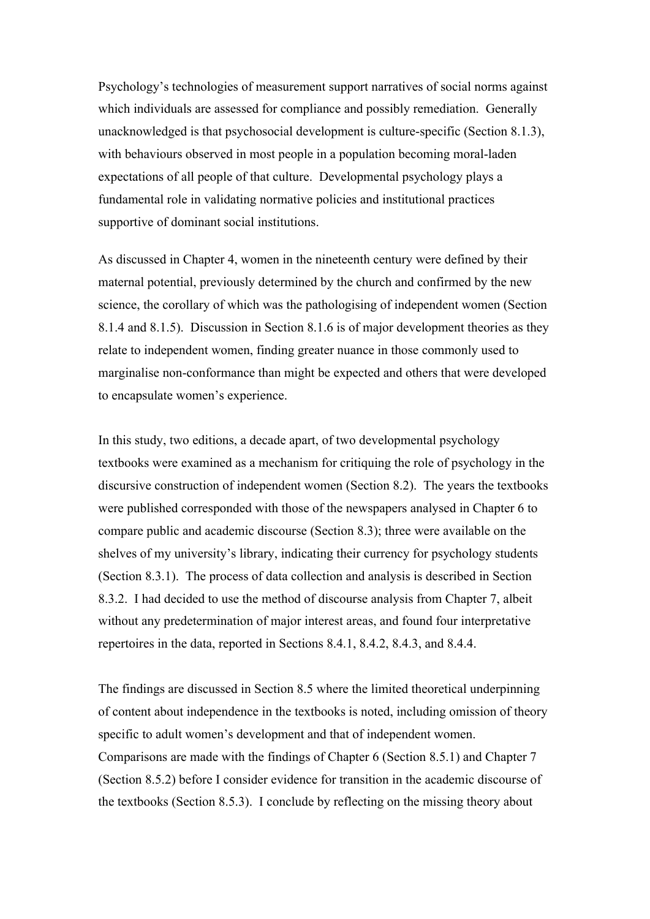Psychology's technologies of measurement support narratives of social norms against which individuals are assessed for compliance and possibly remediation. Generally unacknowledged is that psychosocial development is culture-specific (Section 8.1.3), with behaviours observed in most people in a population becoming moral-laden expectations of all people of that culture. Developmental psychology plays a fundamental role in validating normative policies and institutional practices supportive of dominant social institutions.

As discussed in Chapter 4, women in the nineteenth century were defined by their maternal potential, previously determined by the church and confirmed by the new science, the corollary of which was the pathologising of independent women (Section 8.1.4 and 8.1.5). Discussion in Section 8.1.6 is of major development theories as they relate to independent women, finding greater nuance in those commonly used to marginalise non-conformance than might be expected and others that were developed to encapsulate women's experience.

In this study, two editions, a decade apart, of two developmental psychology textbooks were examined as a mechanism for critiquing the role of psychology in the discursive construction of independent women (Section 8.2). The years the textbooks were published corresponded with those of the newspapers analysed in Chapter 6 to compare public and academic discourse (Section 8.3); three were available on the shelves of my university's library, indicating their currency for psychology students (Section 8.3.1). The process of data collection and analysis is described in Section 8.3.2. I had decided to use the method of discourse analysis from Chapter 7, albeit without any predetermination of major interest areas, and found four interpretative repertoires in the data, reported in Sections 8.4.1, 8.4.2, 8.4.3, and 8.4.4.

The findings are discussed in Section 8.5 where the limited theoretical underpinning of content about independence in the textbooks is noted, including omission of theory specific to adult women's development and that of independent women. Comparisons are made with the findings of Chapter 6 (Section 8.5.1) and Chapter 7 (Section 8.5.2) before I consider evidence for transition in the academic discourse of the textbooks (Section 8.5.3). I conclude by reflecting on the missing theory about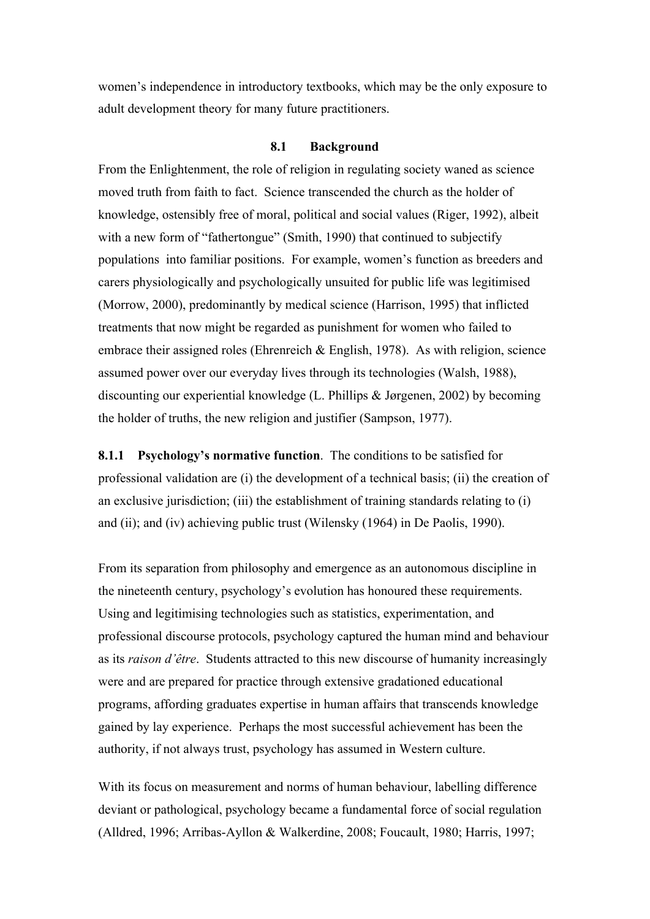women's independence in introductory textbooks, which may be the only exposure to adult development theory for many future practitioners.

### **8.1 Background**

From the Enlightenment, the role of religion in regulating society waned as science moved truth from faith to fact. Science transcended the church as the holder of knowledge, ostensibly free of moral, political and social values (Riger, 1992), albeit with a new form of "fathertongue" (Smith, 1990) that continued to subjectify populations into familiar positions. For example, women's function as breeders and carers physiologically and psychologically unsuited for public life was legitimised (Morrow, 2000), predominantly by medical science (Harrison, 1995) that inflicted treatments that now might be regarded as punishment for women who failed to embrace their assigned roles (Ehrenreich  $&$  English, 1978). As with religion, science assumed power over our everyday lives through its technologies (Walsh, 1988), discounting our experiential knowledge (L. Phillips & Jørgenen, 2002) by becoming the holder of truths, the new religion and justifier (Sampson, 1977).

**8.1.1 Psychology's normative function**. The conditions to be satisfied for professional validation are (i) the development of a technical basis; (ii) the creation of an exclusive jurisdiction; (iii) the establishment of training standards relating to (i) and (ii); and (iv) achieving public trust (Wilensky (1964) in De Paolis, 1990).

From its separation from philosophy and emergence as an autonomous discipline in the nineteenth century, psychology's evolution has honoured these requirements. Using and legitimising technologies such as statistics, experimentation, and professional discourse protocols, psychology captured the human mind and behaviour as its *raison d'être*. Students attracted to this new discourse of humanity increasingly were and are prepared for practice through extensive gradationed educational programs, affording graduates expertise in human affairs that transcends knowledge gained by lay experience. Perhaps the most successful achievement has been the authority, if not always trust, psychology has assumed in Western culture.

With its focus on measurement and norms of human behaviour, labelling difference deviant or pathological, psychology became a fundamental force of social regulation (Alldred, 1996; Arribas-Ayllon & Walkerdine, 2008; Foucault, 1980; Harris, 1997;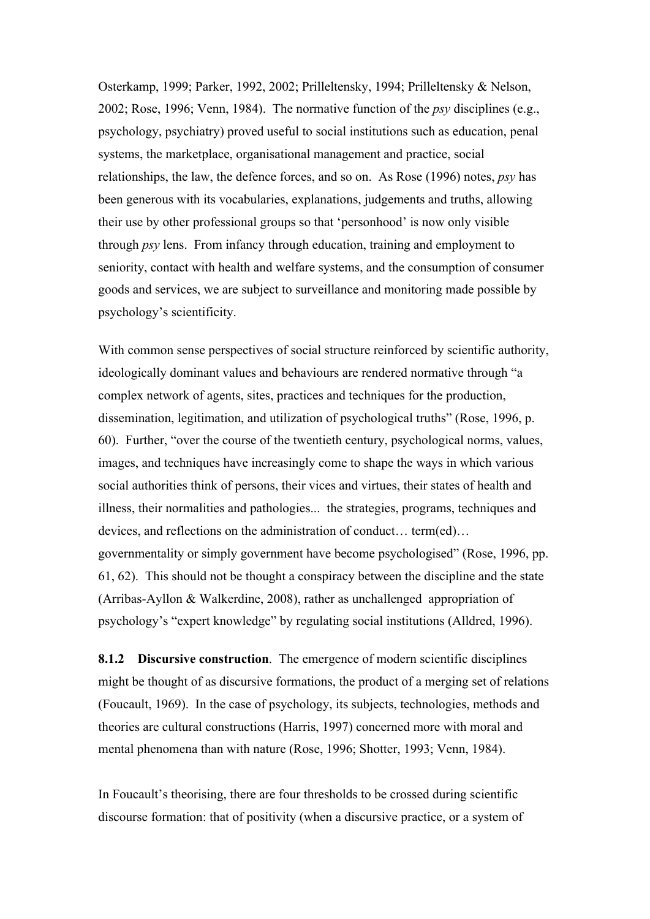Osterkamp, 1999; Parker, 1992, 2002; Prilleltensky, 1994; Prilleltensky & Nelson, 2002; Rose, 1996; Venn, 1984). The normative function of the *psy* disciplines (e.g., psychology, psychiatry) proved useful to social institutions such as education, penal systems, the marketplace, organisational management and practice, social relationships, the law, the defence forces, and so on. As Rose (1996) notes, *psy* has been generous with its vocabularies, explanations, judgements and truths, allowing their use by other professional groups so that 'personhood' is now only visible through *psy* lens. From infancy through education, training and employment to seniority, contact with health and welfare systems, and the consumption of consumer goods and services, we are subject to surveillance and monitoring made possible by psychology's scientificity.

With common sense perspectives of social structure reinforced by scientific authority, ideologically dominant values and behaviours are rendered normative through "a complex network of agents, sites, practices and techniques for the production, dissemination, legitimation, and utilization of psychological truths" (Rose, 1996, p. 60). Further, "over the course of the twentieth century, psychological norms, values, images, and techniques have increasingly come to shape the ways in which various social authorities think of persons, their vices and virtues, their states of health and illness, their normalities and pathologies... the strategies, programs, techniques and devices, and reflections on the administration of conduct… term(ed)… governmentality or simply government have become psychologised" (Rose, 1996, pp. 61, 62). This should not be thought a conspiracy between the discipline and the state (Arribas-Ayllon & Walkerdine, 2008), rather as unchallenged appropriation of psychology's "expert knowledge" by regulating social institutions (Alldred, 1996).

**8.1.2 Discursive construction**. The emergence of modern scientific disciplines might be thought of as discursive formations, the product of a merging set of relations (Foucault, 1969). In the case of psychology, its subjects, technologies, methods and theories are cultural constructions (Harris, 1997) concerned more with moral and mental phenomena than with nature (Rose, 1996; Shotter, 1993; Venn, 1984).

In Foucault's theorising, there are four thresholds to be crossed during scientific discourse formation: that of positivity (when a discursive practice, or a system of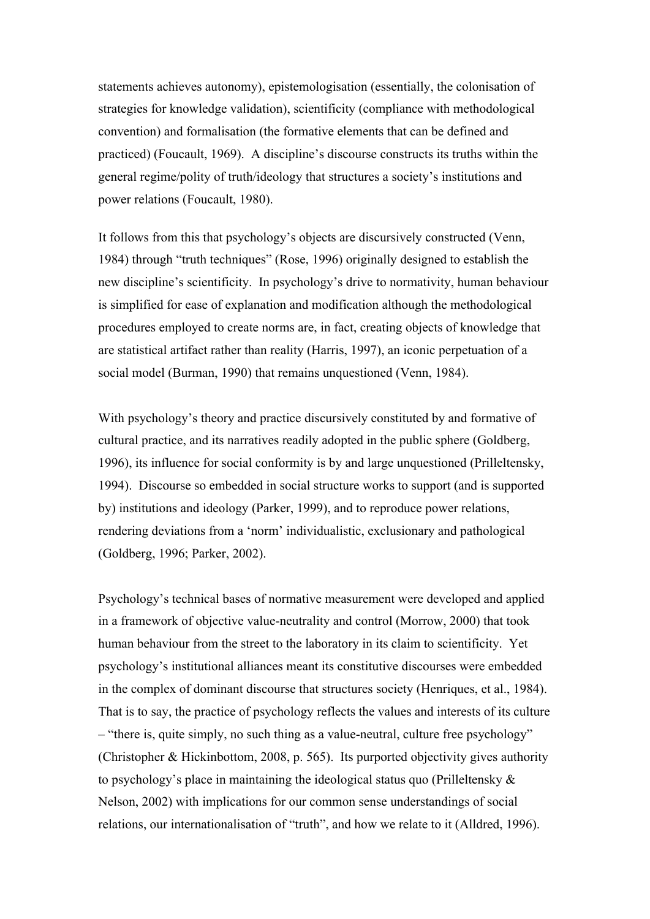statements achieves autonomy), epistemologisation (essentially, the colonisation of strategies for knowledge validation), scientificity (compliance with methodological convention) and formalisation (the formative elements that can be defined and practiced) (Foucault, 1969). A discipline's discourse constructs its truths within the general regime/polity of truth/ideology that structures a society's institutions and power relations (Foucault, 1980).

It follows from this that psychology's objects are discursively constructed (Venn, 1984) through "truth techniques" (Rose, 1996) originally designed to establish the new discipline's scientificity. In psychology's drive to normativity, human behaviour is simplified for ease of explanation and modification although the methodological procedures employed to create norms are, in fact, creating objects of knowledge that are statistical artifact rather than reality (Harris, 1997), an iconic perpetuation of a social model (Burman, 1990) that remains unquestioned (Venn, 1984).

With psychology's theory and practice discursively constituted by and formative of cultural practice, and its narratives readily adopted in the public sphere (Goldberg, 1996), its influence for social conformity is by and large unquestioned (Prilleltensky, 1994). Discourse so embedded in social structure works to support (and is supported by) institutions and ideology (Parker, 1999), and to reproduce power relations, rendering deviations from a 'norm' individualistic, exclusionary and pathological (Goldberg, 1996; Parker, 2002).

Psychology's technical bases of normative measurement were developed and applied in a framework of objective value-neutrality and control (Morrow, 2000) that took human behaviour from the street to the laboratory in its claim to scientificity. Yet psychology's institutional alliances meant its constitutive discourses were embedded in the complex of dominant discourse that structures society (Henriques, et al., 1984). That is to say, the practice of psychology reflects the values and interests of its culture – "there is, quite simply, no such thing as a value-neutral, culture free psychology" (Christopher & Hickinbottom, 2008, p. 565). Its purported objectivity gives authority to psychology's place in maintaining the ideological status quo (Prilleltensky & Nelson, 2002) with implications for our common sense understandings of social relations, our internationalisation of "truth", and how we relate to it (Alldred, 1996).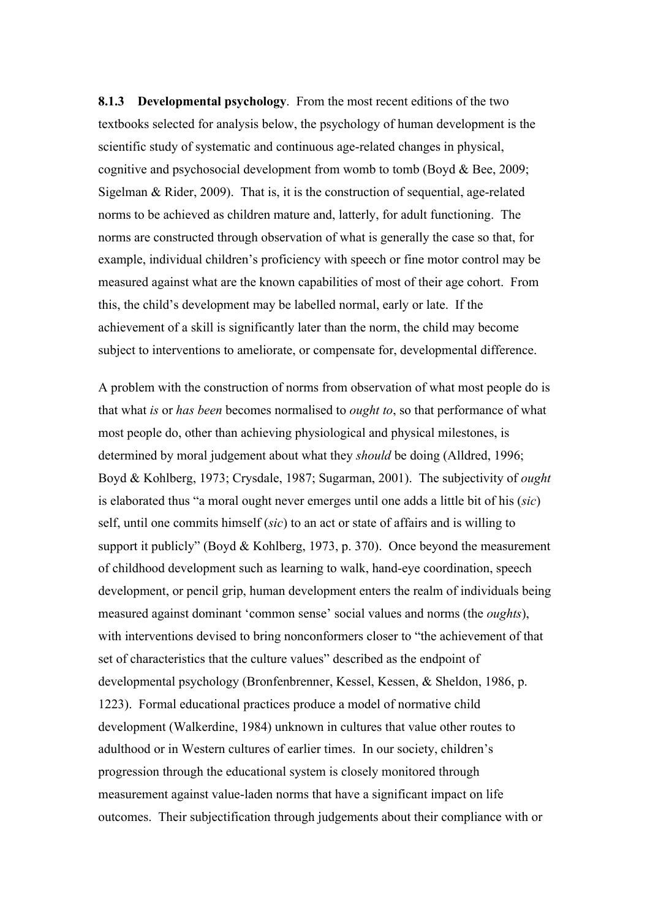**8.1.3 Developmental psychology**. From the most recent editions of the two textbooks selected for analysis below, the psychology of human development is the scientific study of systematic and continuous age-related changes in physical, cognitive and psychosocial development from womb to tomb (Boyd & Bee, 2009; Sigelman & Rider, 2009). That is, it is the construction of sequential, age-related norms to be achieved as children mature and, latterly, for adult functioning. The norms are constructed through observation of what is generally the case so that, for example, individual children's proficiency with speech or fine motor control may be measured against what are the known capabilities of most of their age cohort. From this, the child's development may be labelled normal, early or late. If the achievement of a skill is significantly later than the norm, the child may become subject to interventions to ameliorate, or compensate for, developmental difference.

A problem with the construction of norms from observation of what most people do is that what *is* or *has been* becomes normalised to *ought to*, so that performance of what most people do, other than achieving physiological and physical milestones, is determined by moral judgement about what they *should* be doing (Alldred, 1996; Boyd & Kohlberg, 1973; Crysdale, 1987; Sugarman, 2001). The subjectivity of *ought* is elaborated thus "a moral ought never emerges until one adds a little bit of his (*sic*) self, until one commits himself (*sic*) to an act or state of affairs and is willing to support it publicly" (Boyd & Kohlberg, 1973, p. 370). Once beyond the measurement of childhood development such as learning to walk, hand-eye coordination, speech development, or pencil grip, human development enters the realm of individuals being measured against dominant 'common sense' social values and norms (the *oughts*), with interventions devised to bring nonconformers closer to "the achievement of that set of characteristics that the culture values" described as the endpoint of developmental psychology (Bronfenbrenner, Kessel, Kessen, & Sheldon, 1986, p. 1223). Formal educational practices produce a model of normative child development (Walkerdine, 1984) unknown in cultures that value other routes to adulthood or in Western cultures of earlier times. In our society, children's progression through the educational system is closely monitored through measurement against value-laden norms that have a significant impact on life outcomes. Their subjectification through judgements about their compliance with or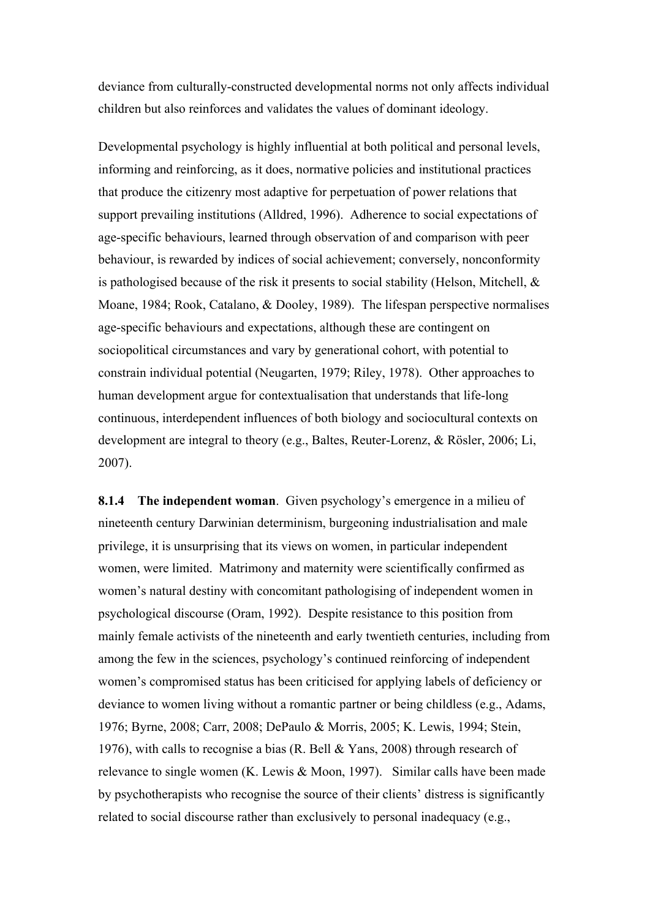deviance from culturally-constructed developmental norms not only affects individual children but also reinforces and validates the values of dominant ideology.

Developmental psychology is highly influential at both political and personal levels, informing and reinforcing, as it does, normative policies and institutional practices that produce the citizenry most adaptive for perpetuation of power relations that support prevailing institutions (Alldred, 1996). Adherence to social expectations of age-specific behaviours, learned through observation of and comparison with peer behaviour, is rewarded by indices of social achievement; conversely, nonconformity is pathologised because of the risk it presents to social stability (Helson, Mitchell,  $\&$ Moane, 1984; Rook, Catalano, & Dooley, 1989). The lifespan perspective normalises age-specific behaviours and expectations, although these are contingent on sociopolitical circumstances and vary by generational cohort, with potential to constrain individual potential (Neugarten, 1979; Riley, 1978). Other approaches to human development argue for contextualisation that understands that life-long continuous, interdependent influences of both biology and sociocultural contexts on development are integral to theory (e.g., Baltes, Reuter-Lorenz, & Rösler, 2006; Li, 2007).

**8.1.4 The independent woman**. Given psychology's emergence in a milieu of nineteenth century Darwinian determinism, burgeoning industrialisation and male privilege, it is unsurprising that its views on women, in particular independent women, were limited. Matrimony and maternity were scientifically confirmed as women's natural destiny with concomitant pathologising of independent women in psychological discourse (Oram, 1992). Despite resistance to this position from mainly female activists of the nineteenth and early twentieth centuries, including from among the few in the sciences, psychology's continued reinforcing of independent women's compromised status has been criticised for applying labels of deficiency or deviance to women living without a romantic partner or being childless (e.g., Adams, 1976; Byrne, 2008; Carr, 2008; DePaulo & Morris, 2005; K. Lewis, 1994; Stein, 1976), with calls to recognise a bias (R. Bell & Yans, 2008) through research of relevance to single women (K. Lewis & Moon, 1997). Similar calls have been made by psychotherapists who recognise the source of their clients' distress is significantly related to social discourse rather than exclusively to personal inadequacy (e.g.,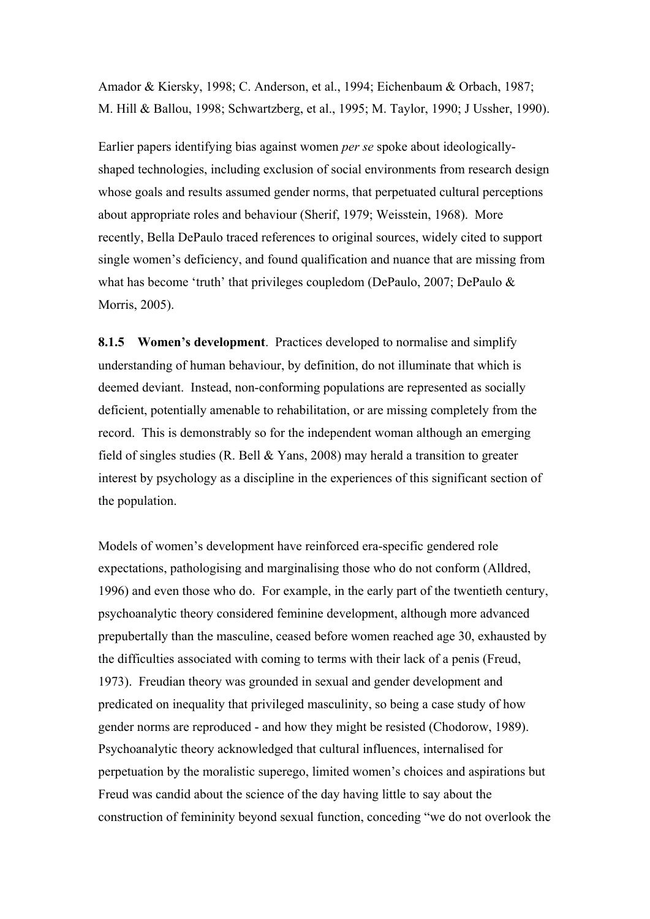Amador & Kiersky, 1998; C. Anderson, et al., 1994; Eichenbaum & Orbach, 1987; M. Hill & Ballou, 1998; Schwartzberg, et al., 1995; M. Taylor, 1990; J Ussher, 1990).

Earlier papers identifying bias against women *per se* spoke about ideologicallyshaped technologies, including exclusion of social environments from research design whose goals and results assumed gender norms, that perpetuated cultural perceptions about appropriate roles and behaviour (Sherif, 1979; Weisstein, 1968). More recently, Bella DePaulo traced references to original sources, widely cited to support single women's deficiency, and found qualification and nuance that are missing from what has become 'truth' that privileges coupledom (DePaulo, 2007; DePaulo & Morris, 2005).

**8.1.5 Women's development**. Practices developed to normalise and simplify understanding of human behaviour, by definition, do not illuminate that which is deemed deviant. Instead, non-conforming populations are represented as socially deficient, potentially amenable to rehabilitation, or are missing completely from the record. This is demonstrably so for the independent woman although an emerging field of singles studies (R. Bell  $&$  Yans, 2008) may herald a transition to greater interest by psychology as a discipline in the experiences of this significant section of the population.

Models of women's development have reinforced era-specific gendered role expectations, pathologising and marginalising those who do not conform (Alldred, 1996) and even those who do. For example, in the early part of the twentieth century, psychoanalytic theory considered feminine development, although more advanced prepubertally than the masculine, ceased before women reached age 30, exhausted by the difficulties associated with coming to terms with their lack of a penis (Freud, 1973). Freudian theory was grounded in sexual and gender development and predicated on inequality that privileged masculinity, so being a case study of how gender norms are reproduced - and how they might be resisted (Chodorow, 1989). Psychoanalytic theory acknowledged that cultural influences, internalised for perpetuation by the moralistic superego, limited women's choices and aspirations but Freud was candid about the science of the day having little to say about the construction of femininity beyond sexual function, conceding "we do not overlook the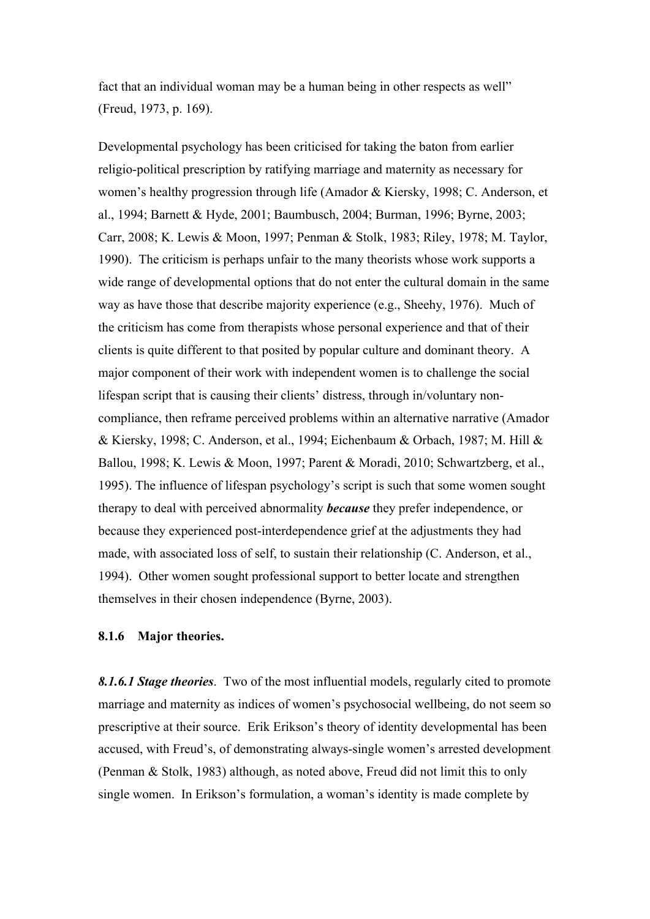fact that an individual woman may be a human being in other respects as well" (Freud, 1973, p. 169).

Developmental psychology has been criticised for taking the baton from earlier religio-political prescription by ratifying marriage and maternity as necessary for women's healthy progression through life (Amador & Kiersky, 1998; C. Anderson, et al., 1994; Barnett & Hyde, 2001; Baumbusch, 2004; Burman, 1996; Byrne, 2003; Carr, 2008; K. Lewis & Moon, 1997; Penman & Stolk, 1983; Riley, 1978; M. Taylor, 1990). The criticism is perhaps unfair to the many theorists whose work supports a wide range of developmental options that do not enter the cultural domain in the same way as have those that describe majority experience (e.g., Sheehy, 1976). Much of the criticism has come from therapists whose personal experience and that of their clients is quite different to that posited by popular culture and dominant theory. A major component of their work with independent women is to challenge the social lifespan script that is causing their clients' distress, through in/voluntary noncompliance, then reframe perceived problems within an alternative narrative (Amador & Kiersky, 1998; C. Anderson, et al., 1994; Eichenbaum & Orbach, 1987; M. Hill & Ballou, 1998; K. Lewis & Moon, 1997; Parent & Moradi, 2010; Schwartzberg, et al., 1995). The influence of lifespan psychology's script is such that some women sought therapy to deal with perceived abnormality *because* they prefer independence, or because they experienced post-interdependence grief at the adjustments they had made, with associated loss of self, to sustain their relationship (C. Anderson, et al., 1994). Other women sought professional support to better locate and strengthen themselves in their chosen independence (Byrne, 2003).

## **8.1.6 Major theories.**

*8.1.6.1 Stage theories*. Two of the most influential models, regularly cited to promote marriage and maternity as indices of women's psychosocial wellbeing, do not seem so prescriptive at their source. Erik Erikson's theory of identity developmental has been accused, with Freud's, of demonstrating always-single women's arrested development (Penman & Stolk, 1983) although, as noted above, Freud did not limit this to only single women. In Erikson's formulation, a woman's identity is made complete by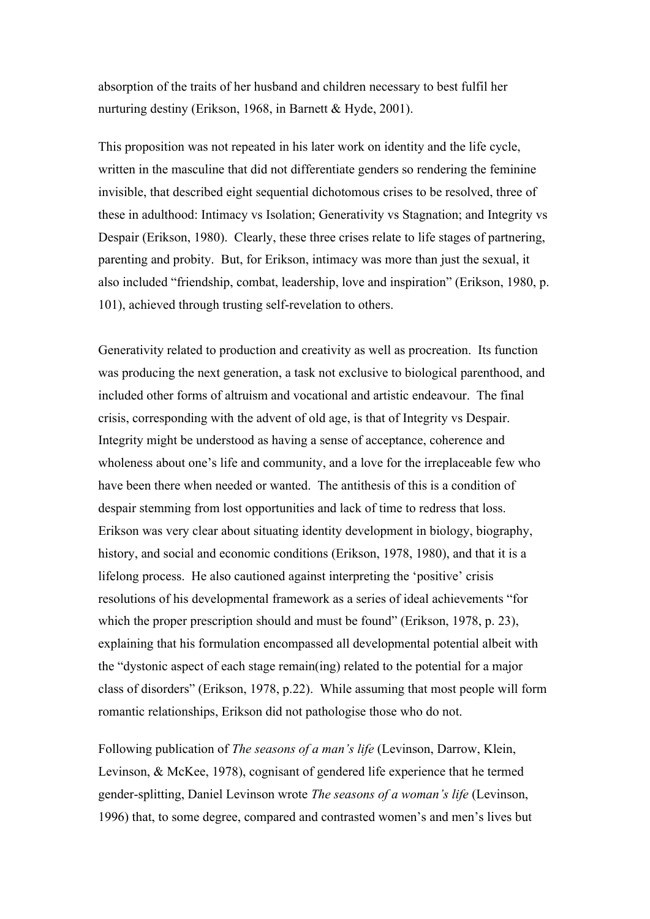absorption of the traits of her husband and children necessary to best fulfil her nurturing destiny (Erikson, 1968, in Barnett & Hyde, 2001).

This proposition was not repeated in his later work on identity and the life cycle, written in the masculine that did not differentiate genders so rendering the feminine invisible, that described eight sequential dichotomous crises to be resolved, three of these in adulthood: Intimacy vs Isolation; Generativity vs Stagnation; and Integrity vs Despair (Erikson, 1980). Clearly, these three crises relate to life stages of partnering, parenting and probity. But, for Erikson, intimacy was more than just the sexual, it also included "friendship, combat, leadership, love and inspiration" (Erikson, 1980, p. 101), achieved through trusting self-revelation to others.

Generativity related to production and creativity as well as procreation. Its function was producing the next generation, a task not exclusive to biological parenthood, and included other forms of altruism and vocational and artistic endeavour. The final crisis, corresponding with the advent of old age, is that of Integrity vs Despair. Integrity might be understood as having a sense of acceptance, coherence and wholeness about one's life and community, and a love for the irreplaceable few who have been there when needed or wanted. The antithesis of this is a condition of despair stemming from lost opportunities and lack of time to redress that loss. Erikson was very clear about situating identity development in biology, biography, history, and social and economic conditions (Erikson, 1978, 1980), and that it is a lifelong process. He also cautioned against interpreting the 'positive' crisis resolutions of his developmental framework as a series of ideal achievements "for which the proper prescription should and must be found" (Erikson, 1978, p. 23), explaining that his formulation encompassed all developmental potential albeit with the "dystonic aspect of each stage remain(ing) related to the potential for a major class of disorders" (Erikson, 1978, p.22). While assuming that most people will form romantic relationships, Erikson did not pathologise those who do not.

Following publication of *The seasons of a man's life* (Levinson, Darrow, Klein, Levinson, & McKee, 1978), cognisant of gendered life experience that he termed gender-splitting, Daniel Levinson wrote *The seasons of a woman's life* (Levinson, 1996) that, to some degree, compared and contrasted women's and men's lives but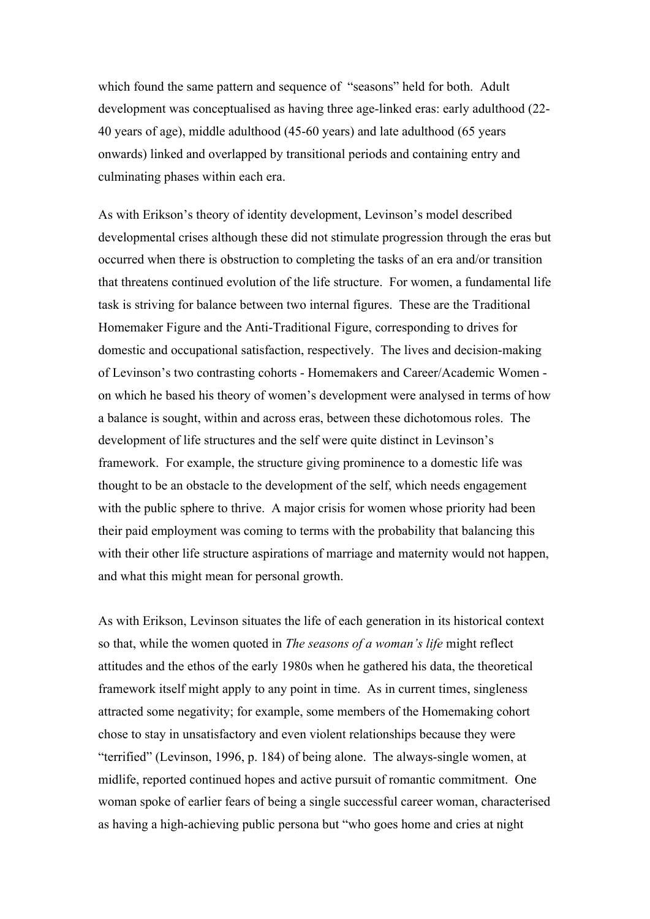which found the same pattern and sequence of "seasons" held for both. Adult development was conceptualised as having three age-linked eras: early adulthood (22- 40 years of age), middle adulthood (45-60 years) and late adulthood (65 years onwards) linked and overlapped by transitional periods and containing entry and culminating phases within each era.

As with Erikson's theory of identity development, Levinson's model described developmental crises although these did not stimulate progression through the eras but occurred when there is obstruction to completing the tasks of an era and/or transition that threatens continued evolution of the life structure. For women, a fundamental life task is striving for balance between two internal figures. These are the Traditional Homemaker Figure and the Anti-Traditional Figure, corresponding to drives for domestic and occupational satisfaction, respectively. The lives and decision-making of Levinson's two contrasting cohorts - Homemakers and Career/Academic Women on which he based his theory of women's development were analysed in terms of how a balance is sought, within and across eras, between these dichotomous roles. The development of life structures and the self were quite distinct in Levinson's framework. For example, the structure giving prominence to a domestic life was thought to be an obstacle to the development of the self, which needs engagement with the public sphere to thrive. A major crisis for women whose priority had been their paid employment was coming to terms with the probability that balancing this with their other life structure aspirations of marriage and maternity would not happen, and what this might mean for personal growth.

As with Erikson, Levinson situates the life of each generation in its historical context so that, while the women quoted in *The seasons of a woman's life* might reflect attitudes and the ethos of the early 1980s when he gathered his data, the theoretical framework itself might apply to any point in time. As in current times, singleness attracted some negativity; for example, some members of the Homemaking cohort chose to stay in unsatisfactory and even violent relationships because they were "terrified" (Levinson, 1996, p. 184) of being alone. The always-single women, at midlife, reported continued hopes and active pursuit of romantic commitment. One woman spoke of earlier fears of being a single successful career woman, characterised as having a high-achieving public persona but "who goes home and cries at night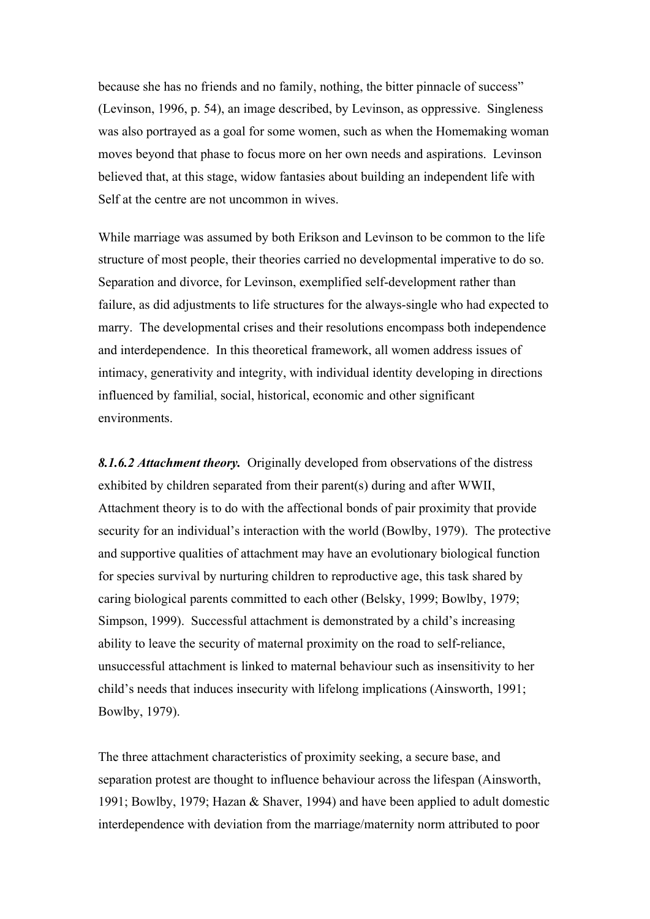because she has no friends and no family, nothing, the bitter pinnacle of success" (Levinson, 1996, p. 54), an image described, by Levinson, as oppressive. Singleness was also portrayed as a goal for some women, such as when the Homemaking woman moves beyond that phase to focus more on her own needs and aspirations. Levinson believed that, at this stage, widow fantasies about building an independent life with Self at the centre are not uncommon in wives.

While marriage was assumed by both Erikson and Levinson to be common to the life structure of most people, their theories carried no developmental imperative to do so. Separation and divorce, for Levinson, exemplified self-development rather than failure, as did adjustments to life structures for the always-single who had expected to marry. The developmental crises and their resolutions encompass both independence and interdependence. In this theoretical framework, all women address issues of intimacy, generativity and integrity, with individual identity developing in directions influenced by familial, social, historical, economic and other significant environments.

*8.1.6.2 Attachment theory.* Originally developed from observations of the distress exhibited by children separated from their parent(s) during and after WWII, Attachment theory is to do with the affectional bonds of pair proximity that provide security for an individual's interaction with the world (Bowlby, 1979). The protective and supportive qualities of attachment may have an evolutionary biological function for species survival by nurturing children to reproductive age, this task shared by caring biological parents committed to each other (Belsky, 1999; Bowlby, 1979; Simpson, 1999). Successful attachment is demonstrated by a child's increasing ability to leave the security of maternal proximity on the road to self-reliance, unsuccessful attachment is linked to maternal behaviour such as insensitivity to her child's needs that induces insecurity with lifelong implications (Ainsworth, 1991; Bowlby, 1979).

The three attachment characteristics of proximity seeking, a secure base, and separation protest are thought to influence behaviour across the lifespan (Ainsworth, 1991; Bowlby, 1979; Hazan & Shaver, 1994) and have been applied to adult domestic interdependence with deviation from the marriage/maternity norm attributed to poor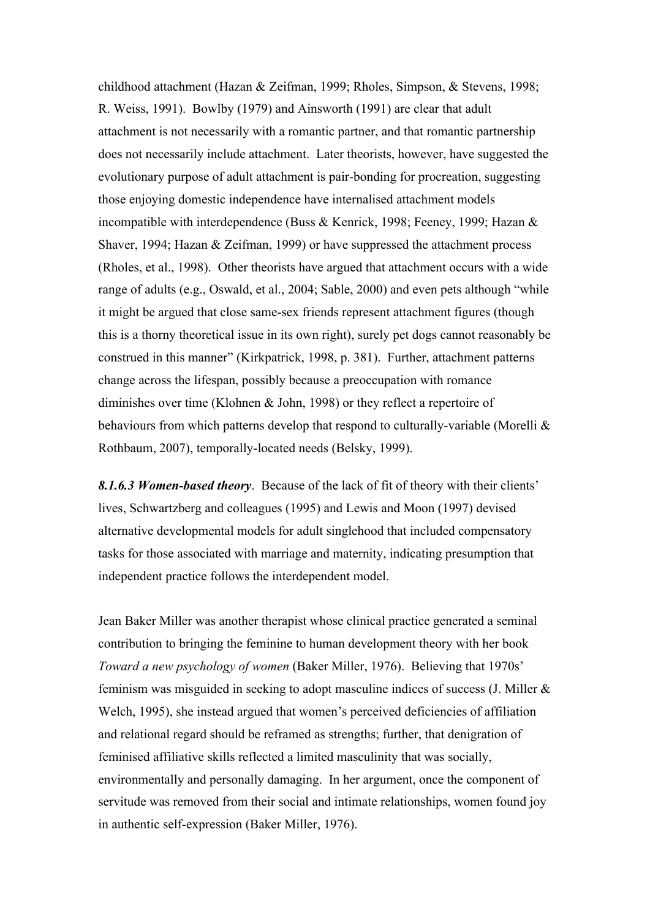childhood attachment (Hazan & Zeifman, 1999; Rholes, Simpson, & Stevens, 1998; R. Weiss, 1991). Bowlby (1979) and Ainsworth (1991) are clear that adult attachment is not necessarily with a romantic partner, and that romantic partnership does not necessarily include attachment. Later theorists, however, have suggested the evolutionary purpose of adult attachment is pair-bonding for procreation, suggesting those enjoying domestic independence have internalised attachment models incompatible with interdependence (Buss & Kenrick, 1998; Feeney, 1999; Hazan & Shaver, 1994; Hazan & Zeifman, 1999) or have suppressed the attachment process (Rholes, et al., 1998). Other theorists have argued that attachment occurs with a wide range of adults (e.g., Oswald, et al., 2004; Sable, 2000) and even pets although "while it might be argued that close same-sex friends represent attachment figures (though this is a thorny theoretical issue in its own right), surely pet dogs cannot reasonably be construed in this manner" (Kirkpatrick, 1998, p. 381). Further, attachment patterns change across the lifespan, possibly because a preoccupation with romance diminishes over time (Klohnen & John, 1998) or they reflect a repertoire of behaviours from which patterns develop that respond to culturally-variable (Morelli & Rothbaum, 2007), temporally-located needs (Belsky, 1999).

*8.1.6.3 Women-based theory*. Because of the lack of fit of theory with their clients' lives, Schwartzberg and colleagues (1995) and Lewis and Moon (1997) devised alternative developmental models for adult singlehood that included compensatory tasks for those associated with marriage and maternity, indicating presumption that independent practice follows the interdependent model.

Jean Baker Miller was another therapist whose clinical practice generated a seminal contribution to bringing the feminine to human development theory with her book *Toward a new psychology of women* (Baker Miller, 1976). Believing that 1970s' feminism was misguided in seeking to adopt masculine indices of success (J. Miller & Welch, 1995), she instead argued that women's perceived deficiencies of affiliation and relational regard should be reframed as strengths; further, that denigration of feminised affiliative skills reflected a limited masculinity that was socially, environmentally and personally damaging. In her argument, once the component of servitude was removed from their social and intimate relationships, women found joy in authentic self-expression (Baker Miller, 1976).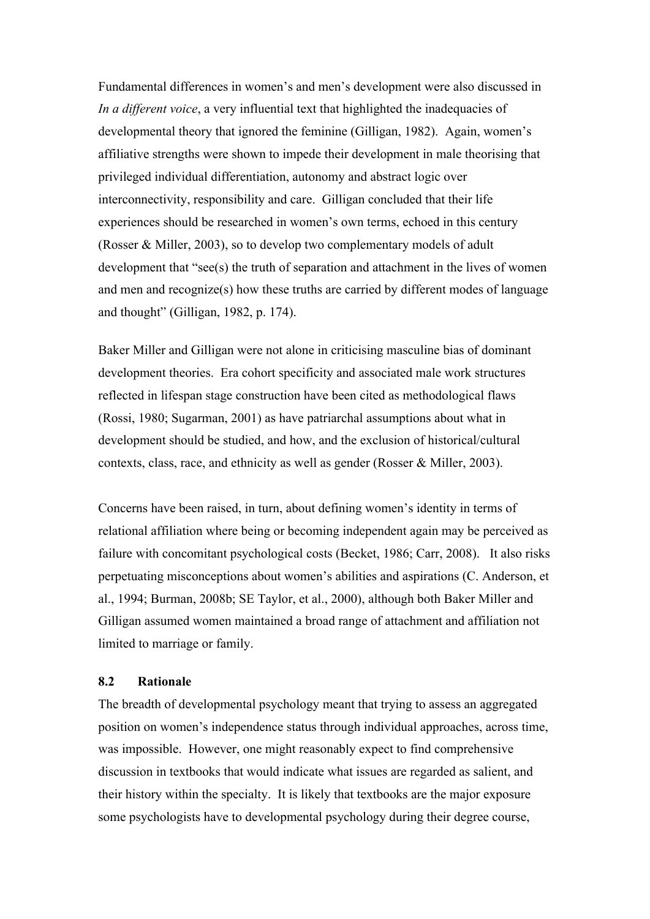Fundamental differences in women's and men's development were also discussed in *In a different voice*, a very influential text that highlighted the inadequacies of developmental theory that ignored the feminine (Gilligan, 1982). Again, women's affiliative strengths were shown to impede their development in male theorising that privileged individual differentiation, autonomy and abstract logic over interconnectivity, responsibility and care. Gilligan concluded that their life experiences should be researched in women's own terms, echoed in this century (Rosser & Miller, 2003), so to develop two complementary models of adult development that "see(s) the truth of separation and attachment in the lives of women and men and recognize(s) how these truths are carried by different modes of language and thought" (Gilligan, 1982, p. 174).

Baker Miller and Gilligan were not alone in criticising masculine bias of dominant development theories. Era cohort specificity and associated male work structures reflected in lifespan stage construction have been cited as methodological flaws (Rossi, 1980; Sugarman, 2001) as have patriarchal assumptions about what in development should be studied, and how, and the exclusion of historical/cultural contexts, class, race, and ethnicity as well as gender (Rosser & Miller, 2003).

Concerns have been raised, in turn, about defining women's identity in terms of relational affiliation where being or becoming independent again may be perceived as failure with concomitant psychological costs (Becket, 1986; Carr, 2008). It also risks perpetuating misconceptions about women's abilities and aspirations (C. Anderson, et al., 1994; Burman, 2008b; SE Taylor, et al., 2000), although both Baker Miller and Gilligan assumed women maintained a broad range of attachment and affiliation not limited to marriage or family.

# **8.2 Rationale**

The breadth of developmental psychology meant that trying to assess an aggregated position on women's independence status through individual approaches, across time, was impossible. However, one might reasonably expect to find comprehensive discussion in textbooks that would indicate what issues are regarded as salient, and their history within the specialty. It is likely that textbooks are the major exposure some psychologists have to developmental psychology during their degree course,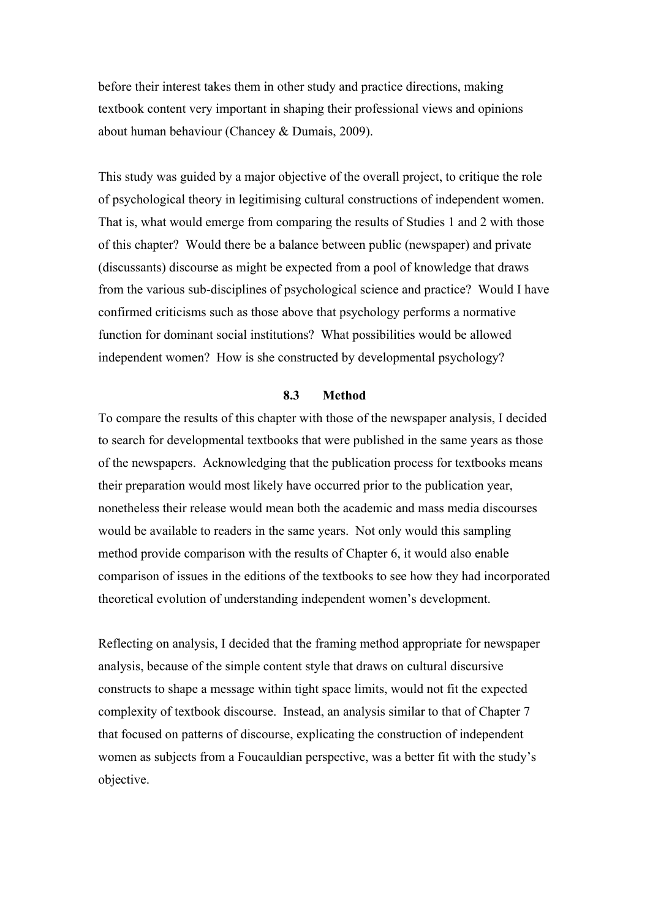before their interest takes them in other study and practice directions, making textbook content very important in shaping their professional views and opinions about human behaviour (Chancey & Dumais, 2009).

This study was guided by a major objective of the overall project, to critique the role of psychological theory in legitimising cultural constructions of independent women. That is, what would emerge from comparing the results of Studies 1 and 2 with those of this chapter? Would there be a balance between public (newspaper) and private (discussants) discourse as might be expected from a pool of knowledge that draws from the various sub-disciplines of psychological science and practice? Would I have confirmed criticisms such as those above that psychology performs a normative function for dominant social institutions? What possibilities would be allowed independent women? How is she constructed by developmental psychology?

#### **8.3 Method**

To compare the results of this chapter with those of the newspaper analysis, I decided to search for developmental textbooks that were published in the same years as those of the newspapers. Acknowledging that the publication process for textbooks means their preparation would most likely have occurred prior to the publication year, nonetheless their release would mean both the academic and mass media discourses would be available to readers in the same years. Not only would this sampling method provide comparison with the results of Chapter 6, it would also enable comparison of issues in the editions of the textbooks to see how they had incorporated theoretical evolution of understanding independent women's development.

Reflecting on analysis, I decided that the framing method appropriate for newspaper analysis, because of the simple content style that draws on cultural discursive constructs to shape a message within tight space limits, would not fit the expected complexity of textbook discourse. Instead, an analysis similar to that of Chapter 7 that focused on patterns of discourse, explicating the construction of independent women as subjects from a Foucauldian perspective, was a better fit with the study's objective.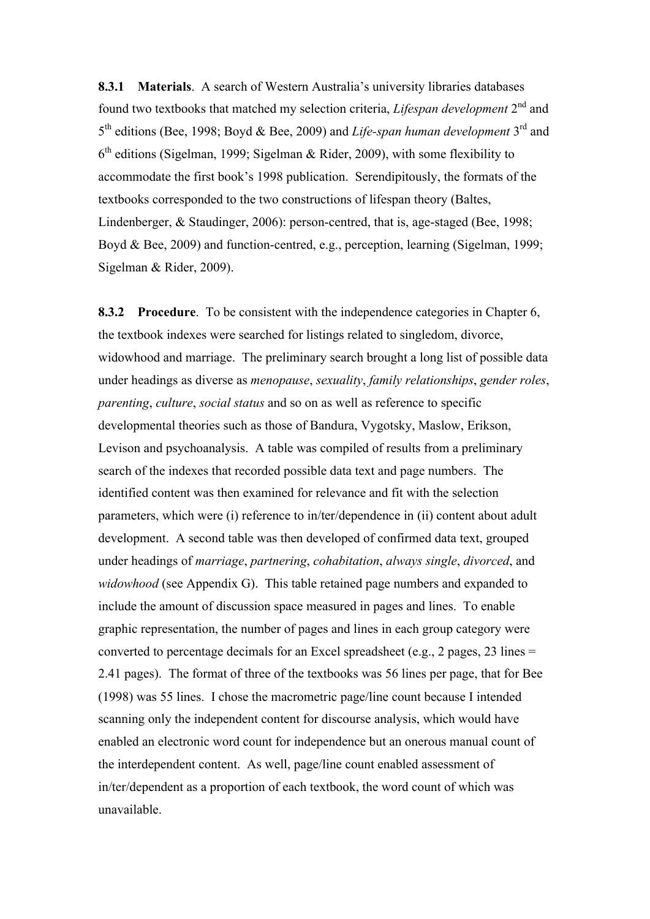**8.3.1 Materials**. A search of Western Australia's university libraries databases found two textbooks that matched my selection criteria, *Lifespan development* 2nd and 5th editions (Bee, 1998; Boyd & Bee, 2009) and *Life-span human development* 3rd and  $6<sup>th</sup>$  editions (Sigelman, 1999; Sigelman & Rider, 2009), with some flexibility to accommodate the first book's 1998 publication. Serendipitously, the formats of the textbooks corresponded to the two constructions of lifespan theory (Baltes, Lindenberger, & Staudinger, 2006): person-centred, that is, age-staged (Bee, 1998; Boyd & Bee, 2009) and function-centred, e.g., perception, learning (Sigelman, 1999; Sigelman & Rider, 2009).

**8.3.2 Procedure**. To be consistent with the independence categories in Chapter 6, the textbook indexes were searched for listings related to singledom, divorce, widowhood and marriage. The preliminary search brought a long list of possible data under headings as diverse as *menopause*, *sexuality*, *family relationships*, *gender roles*, *parenting*, *culture*, *social status* and so on as well as reference to specific developmental theories such as those of Bandura, Vygotsky, Maslow, Erikson, Levison and psychoanalysis. A table was compiled of results from a preliminary search of the indexes that recorded possible data text and page numbers. The identified content was then examined for relevance and fit with the selection parameters, which were (i) reference to in/ter/dependence in (ii) content about adult development. A second table was then developed of confirmed data text, grouped under headings of *marriage*, *partnering*, *cohabitation*, *always single*, *divorced*, and *widowhood* (see Appendix G). This table retained page numbers and expanded to include the amount of discussion space measured in pages and lines. To enable graphic representation, the number of pages and lines in each group category were converted to percentage decimals for an Excel spreadsheet (e.g., 2 pages, 23 lines = 2.41 pages). The format of three of the textbooks was 56 lines per page, that for Bee (1998) was 55 lines. I chose the macrometric page/line count because I intended scanning only the independent content for discourse analysis, which would have enabled an electronic word count for independence but an onerous manual count of the interdependent content. As well, page/line count enabled assessment of in/ter/dependent as a proportion of each textbook, the word count of which was unavailable.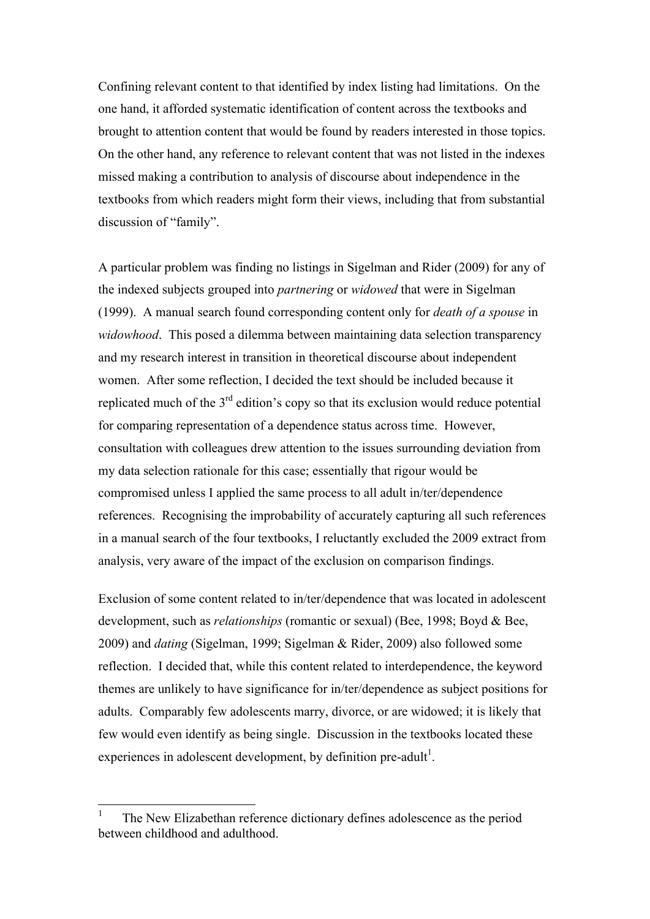Confining relevant content to that identified by index listing had limitations. On the one hand, it afforded systematic identification of content across the textbooks and brought to attention content that would be found by readers interested in those topics. On the other hand, any reference to relevant content that was not listed in the indexes missed making a contribution to analysis of discourse about independence in the textbooks from which readers might form their views, including that from substantial discussion of "family".

A particular problem was finding no listings in Sigelman and Rider (2009) for any of the indexed subjects grouped into *partnering* or *widowed* that were in Sigelman (1999). A manual search found corresponding content only for *death of a spouse* in *widowhood*. This posed a dilemma between maintaining data selection transparency and my research interest in transition in theoretical discourse about independent women. After some reflection, I decided the text should be included because it replicated much of the  $3<sup>rd</sup>$  edition's copy so that its exclusion would reduce potential for comparing representation of a dependence status across time. However, consultation with colleagues drew attention to the issues surrounding deviation from my data selection rationale for this case; essentially that rigour would be compromised unless I applied the same process to all adult in/ter/dependence references. Recognising the improbability of accurately capturing all such references in a manual search of the four textbooks, I reluctantly excluded the 2009 extract from analysis, very aware of the impact of the exclusion on comparison findings.

Exclusion of some content related to in/ter/dependence that was located in adolescent development, such as *relationships* (romantic or sexual) (Bee, 1998; Boyd & Bee, 2009) and *dating* (Sigelman, 1999; Sigelman & Rider, 2009) also followed some reflection. I decided that, while this content related to interdependence, the keyword themes are unlikely to have significance for in/ter/dependence as subject positions for adults. Comparably few adolescents marry, divorce, or are widowed; it is likely that few would even identify as being single. Discussion in the textbooks located these experiences in adolescent development, by definition pre-adult<sup>1</sup>.

 <sup>1</sup> The New Elizabethan reference dictionary defines adolescence as the period between childhood and adulthood.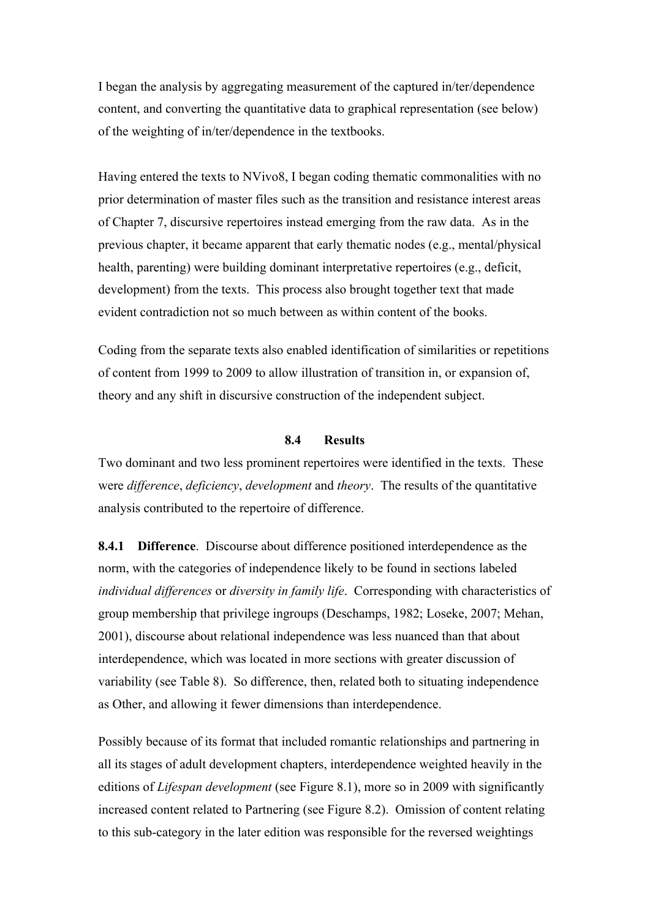I began the analysis by aggregating measurement of the captured in/ter/dependence content, and converting the quantitative data to graphical representation (see below) of the weighting of in/ter/dependence in the textbooks.

Having entered the texts to NVivo8, I began coding thematic commonalities with no prior determination of master files such as the transition and resistance interest areas of Chapter 7, discursive repertoires instead emerging from the raw data. As in the previous chapter, it became apparent that early thematic nodes (e.g., mental/physical health, parenting) were building dominant interpretative repertoires (e.g., deficit, development) from the texts. This process also brought together text that made evident contradiction not so much between as within content of the books.

Coding from the separate texts also enabled identification of similarities or repetitions of content from 1999 to 2009 to allow illustration of transition in, or expansion of, theory and any shift in discursive construction of the independent subject.

# **8.4 Results**

Two dominant and two less prominent repertoires were identified in the texts. These were *difference*, *deficiency*, *development* and *theory*. The results of the quantitative analysis contributed to the repertoire of difference.

**8.4.1 Difference**. Discourse about difference positioned interdependence as the norm, with the categories of independence likely to be found in sections labeled *individual differences* or *diversity in family life*. Corresponding with characteristics of group membership that privilege ingroups (Deschamps, 1982; Loseke, 2007; Mehan, 2001), discourse about relational independence was less nuanced than that about interdependence, which was located in more sections with greater discussion of variability (see Table 8). So difference, then, related both to situating independence as Other, and allowing it fewer dimensions than interdependence.

Possibly because of its format that included romantic relationships and partnering in all its stages of adult development chapters, interdependence weighted heavily in the editions of *Lifespan development* (see Figure 8.1), more so in 2009 with significantly increased content related to Partnering (see Figure 8.2). Omission of content relating to this sub-category in the later edition was responsible for the reversed weightings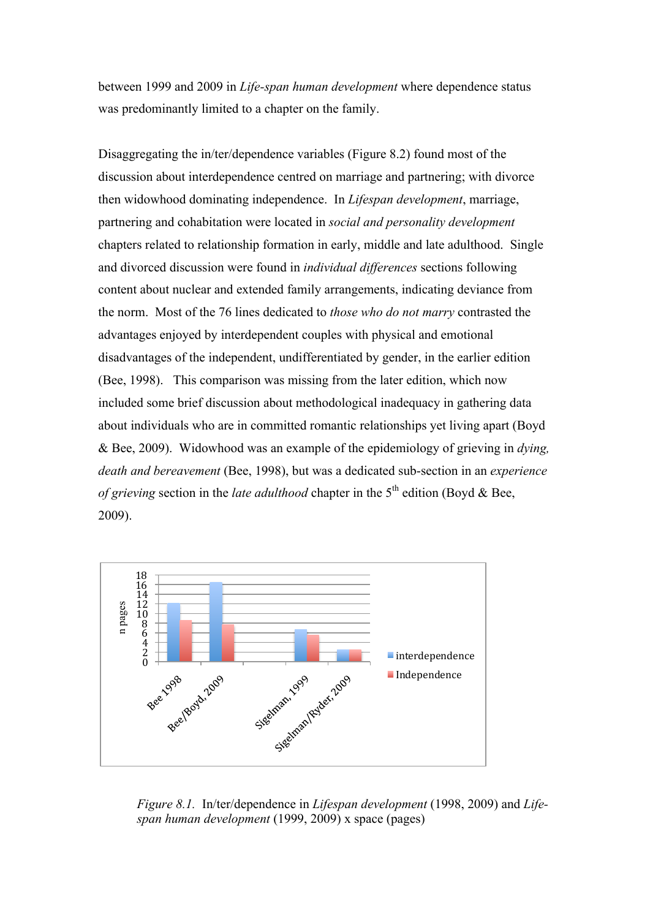between 1999 and 2009 in *Life-span human development* where dependence status was predominantly limited to a chapter on the family.

Disaggregating the in/ter/dependence variables (Figure 8.2) found most of the discussion about interdependence centred on marriage and partnering; with divorce then widowhood dominating independence. In *Lifespan development*, marriage, partnering and cohabitation were located in *social and personality development* chapters related to relationship formation in early, middle and late adulthood. Single and divorced discussion were found in *individual differences* sections following content about nuclear and extended family arrangements, indicating deviance from the norm. Most of the 76 lines dedicated to *those who do not marry* contrasted the advantages enjoyed by interdependent couples with physical and emotional disadvantages of the independent, undifferentiated by gender, in the earlier edition (Bee, 1998). This comparison was missing from the later edition, which now included some brief discussion about methodological inadequacy in gathering data about individuals who are in committed romantic relationships yet living apart (Boyd & Bee, 2009). Widowhood was an example of the epidemiology of grieving in *dying, death and bereavement* (Bee, 1998), but was a dedicated sub-section in an *experience of grieving* section in the *late adulthood* chapter in the  $5<sup>th</sup>$  edition (Boyd & Bee, 2009).



*Figure 8.1.* In/ter/dependence in *Lifespan development* (1998, 2009) and *Lifespan human development* (1999, 2009) x space (pages)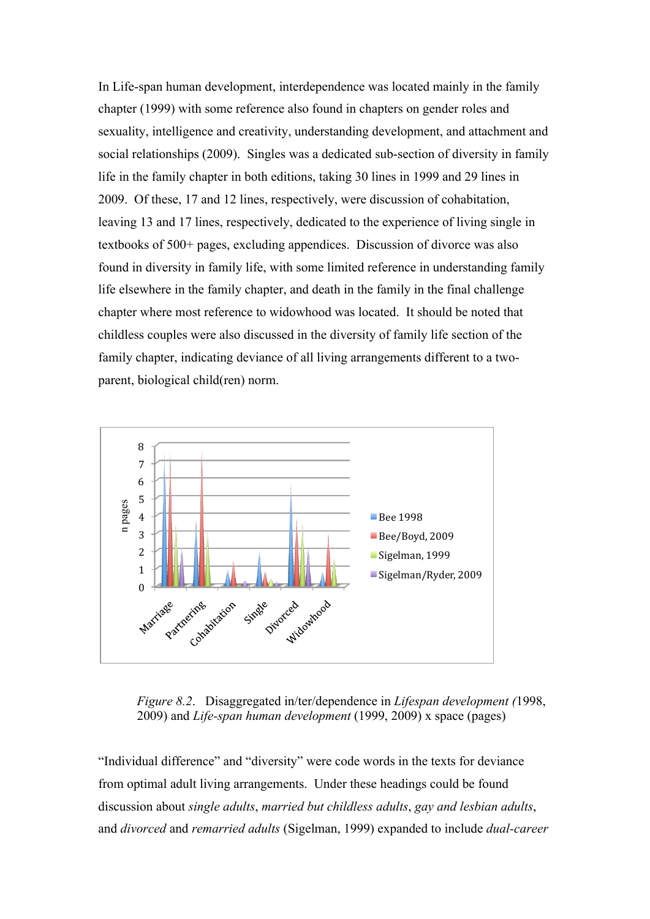In Life-span human development, interdependence was located mainly in the family chapter (1999) with some reference also found in chapters on gender roles and sexuality, intelligence and creativity, understanding development, and attachment and social relationships (2009). Singles was a dedicated sub-section of diversity in family life in the family chapter in both editions, taking 30 lines in 1999 and 29 lines in 2009. Of these, 17 and 12 lines, respectively, were discussion of cohabitation, leaving 13 and 17 lines, respectively, dedicated to the experience of living single in textbooks of 500+ pages, excluding appendices. Discussion of divorce was also found in diversity in family life, with some limited reference in understanding family life elsewhere in the family chapter, and death in the family in the final challenge chapter where most reference to widowhood was located. It should be noted that childless couples were also discussed in the diversity of family life section of the family chapter, indicating deviance of all living arrangements different to a twoparent, biological child(ren) norm.



*Figure 8.2*. Disaggregated in/ter/dependence in *Lifespan development (*1998, 2009) and *Life-span human development* (1999, 2009) x space (pages)

"Individual difference" and "diversity" were code words in the texts for deviance from optimal adult living arrangements. Under these headings could be found discussion about *single adults*, *married but childless adults*, *gay and lesbian adults*, and *divorced* and *remarried adults* (Sigelman, 1999) expanded to include *dual-career*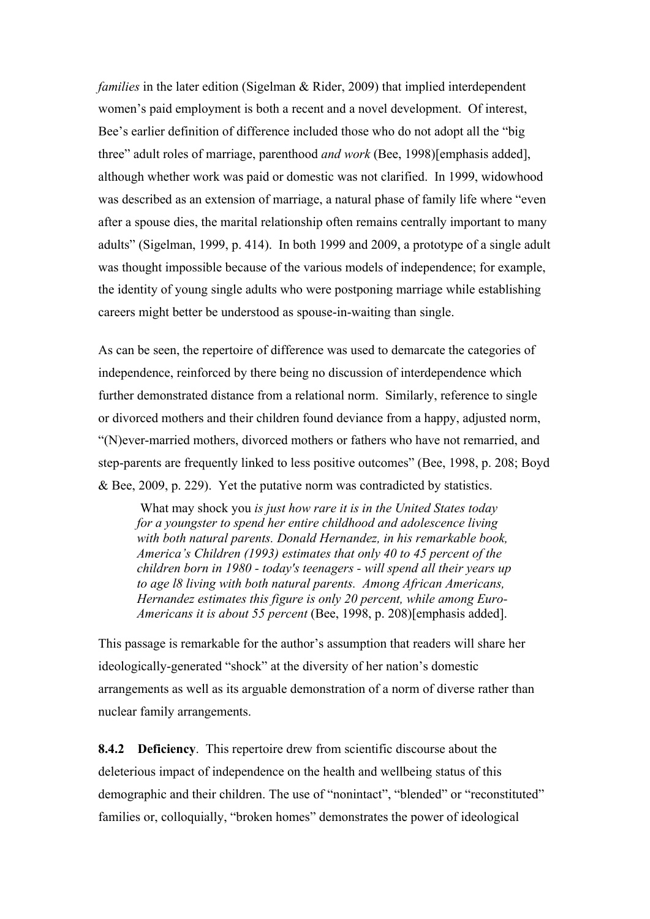*families* in the later edition (Sigelman & Rider, 2009) that implied interdependent women's paid employment is both a recent and a novel development. Of interest, Bee's earlier definition of difference included those who do not adopt all the "big three" adult roles of marriage, parenthood *and work* (Bee, 1998)[emphasis added], although whether work was paid or domestic was not clarified. In 1999, widowhood was described as an extension of marriage, a natural phase of family life where "even after a spouse dies, the marital relationship often remains centrally important to many adults" (Sigelman, 1999, p. 414). In both 1999 and 2009, a prototype of a single adult was thought impossible because of the various models of independence; for example, the identity of young single adults who were postponing marriage while establishing careers might better be understood as spouse-in-waiting than single.

As can be seen, the repertoire of difference was used to demarcate the categories of independence, reinforced by there being no discussion of interdependence which further demonstrated distance from a relational norm. Similarly, reference to single or divorced mothers and their children found deviance from a happy, adjusted norm, "(N)ever-married mothers, divorced mothers or fathers who have not remarried, and step-parents are frequently linked to less positive outcomes" (Bee, 1998, p. 208; Boyd & Bee, 2009, p. 229). Yet the putative norm was contradicted by statistics.

What may shock you *is just how rare it is in the United States today for a youngster to spend her entire childhood and adolescence living with both natural parents. Donald Hernandez, in his remarkable book, America's Children (1993) estimates that only 40 to 45 percent of the children born in 1980 - today's teenagers - will spend all their years up to age l8 living with both natural parents. Among African Americans, Hernandez estimates this figure is only 20 percent, while among Euro-Americans it is about 55 percent* (Bee, 1998, p. 208)[emphasis added].

This passage is remarkable for the author's assumption that readers will share her ideologically-generated "shock" at the diversity of her nation's domestic arrangements as well as its arguable demonstration of a norm of diverse rather than nuclear family arrangements.

**8.4.2 Deficiency**. This repertoire drew from scientific discourse about the deleterious impact of independence on the health and wellbeing status of this demographic and their children. The use of "nonintact", "blended" or "reconstituted" families or, colloquially, "broken homes" demonstrates the power of ideological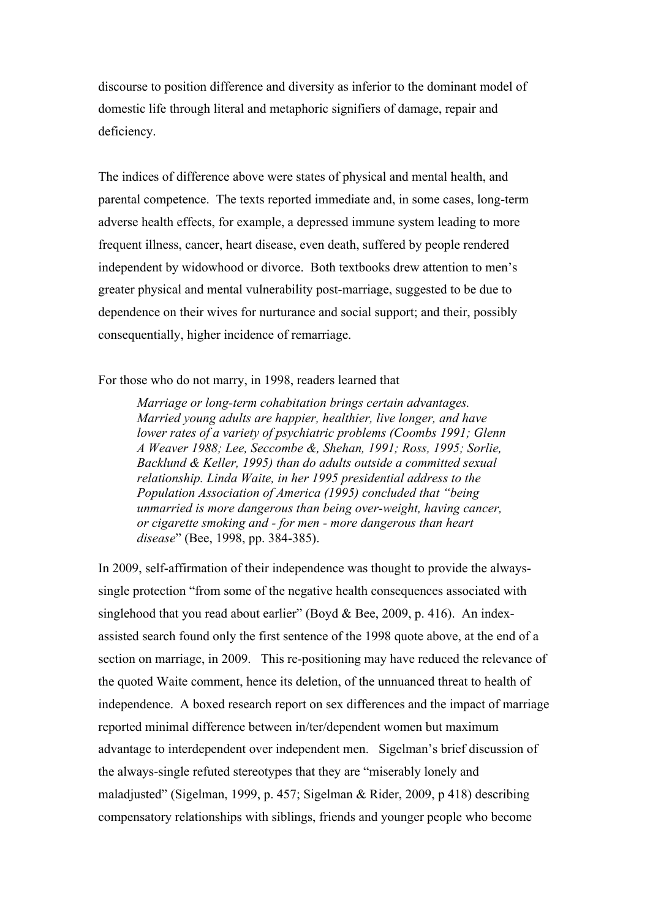discourse to position difference and diversity as inferior to the dominant model of domestic life through literal and metaphoric signifiers of damage, repair and deficiency.

The indices of difference above were states of physical and mental health, and parental competence. The texts reported immediate and, in some cases, long-term adverse health effects, for example, a depressed immune system leading to more frequent illness, cancer, heart disease, even death, suffered by people rendered independent by widowhood or divorce. Both textbooks drew attention to men's greater physical and mental vulnerability post-marriage, suggested to be due to dependence on their wives for nurturance and social support; and their, possibly consequentially, higher incidence of remarriage.

For those who do not marry, in 1998, readers learned that

*Marriage or long-term cohabitation brings certain advantages. Married young adults are happier, healthier, live longer, and have lower rates of a variety of psychiatric problems (Coombs 1991; Glenn A Weaver 1988; Lee, Seccombe &, Shehan, 1991; Ross, 1995; Sorlie, Backlund & Keller, 1995) than do adults outside a committed sexual relationship. Linda Waite, in her 1995 presidential address to the Population Association of America (1995) concluded that "being unmarried is more dangerous than being over-weight, having cancer, or cigarette smoking and - for men - more dangerous than heart disease*" (Bee, 1998, pp. 384-385).

In 2009, self-affirmation of their independence was thought to provide the alwayssingle protection "from some of the negative health consequences associated with singlehood that you read about earlier" (Boyd & Bee, 2009, p. 416). An indexassisted search found only the first sentence of the 1998 quote above, at the end of a section on marriage, in 2009. This re-positioning may have reduced the relevance of the quoted Waite comment, hence its deletion, of the unnuanced threat to health of independence. A boxed research report on sex differences and the impact of marriage reported minimal difference between in/ter/dependent women but maximum advantage to interdependent over independent men. Sigelman's brief discussion of the always-single refuted stereotypes that they are "miserably lonely and maladjusted" (Sigelman, 1999, p. 457; Sigelman & Rider, 2009, p 418) describing compensatory relationships with siblings, friends and younger people who become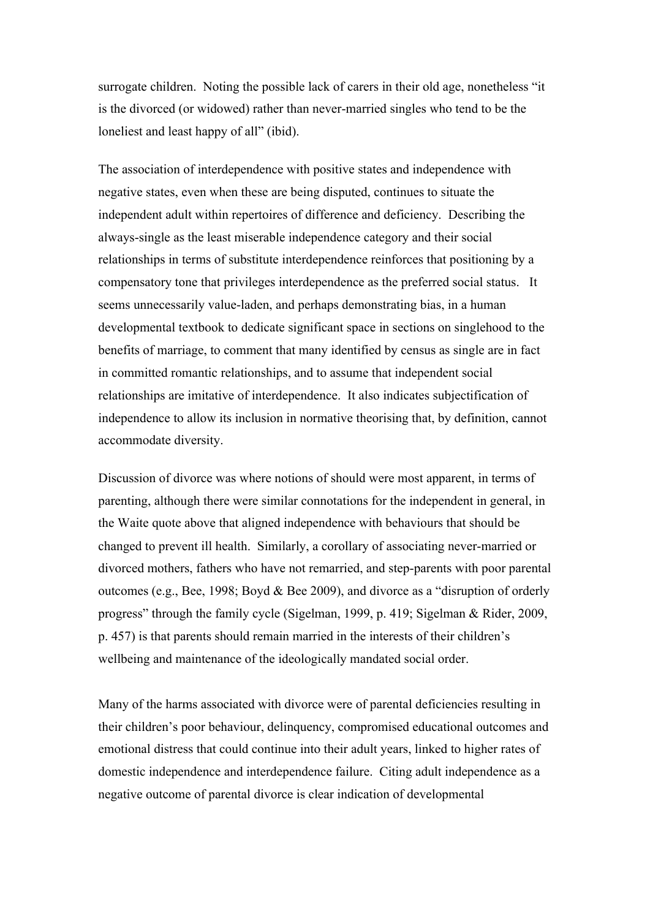surrogate children. Noting the possible lack of carers in their old age, nonetheless "it is the divorced (or widowed) rather than never-married singles who tend to be the loneliest and least happy of all" (ibid).

The association of interdependence with positive states and independence with negative states, even when these are being disputed, continues to situate the independent adult within repertoires of difference and deficiency. Describing the always-single as the least miserable independence category and their social relationships in terms of substitute interdependence reinforces that positioning by a compensatory tone that privileges interdependence as the preferred social status. It seems unnecessarily value-laden, and perhaps demonstrating bias, in a human developmental textbook to dedicate significant space in sections on singlehood to the benefits of marriage, to comment that many identified by census as single are in fact in committed romantic relationships, and to assume that independent social relationships are imitative of interdependence. It also indicates subjectification of independence to allow its inclusion in normative theorising that, by definition, cannot accommodate diversity.

Discussion of divorce was where notions of should were most apparent, in terms of parenting, although there were similar connotations for the independent in general, in the Waite quote above that aligned independence with behaviours that should be changed to prevent ill health. Similarly, a corollary of associating never-married or divorced mothers, fathers who have not remarried, and step-parents with poor parental outcomes (e.g., Bee, 1998; Boyd & Bee 2009), and divorce as a "disruption of orderly progress" through the family cycle (Sigelman, 1999, p. 419; Sigelman & Rider, 2009, p. 457) is that parents should remain married in the interests of their children's wellbeing and maintenance of the ideologically mandated social order.

Many of the harms associated with divorce were of parental deficiencies resulting in their children's poor behaviour, delinquency, compromised educational outcomes and emotional distress that could continue into their adult years, linked to higher rates of domestic independence and interdependence failure. Citing adult independence as a negative outcome of parental divorce is clear indication of developmental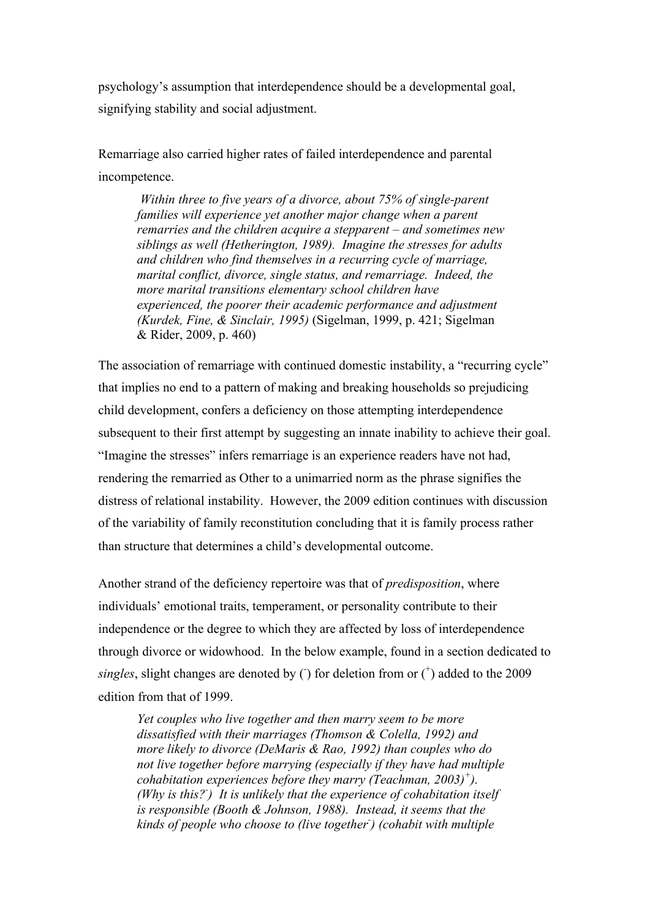psychology's assumption that interdependence should be a developmental goal, signifying stability and social adjustment.

Remarriage also carried higher rates of failed interdependence and parental incompetence.

 *Within three to five years of a divorce, about 75% of single-parent*  families will experience yet another major change when a parent *remarries and the children acquire a stepparent – and sometimes new siblings as well (Hetherington, 1989). Imagine the stresses for adults and children who find themselves in a recurring cycle of marriage, marital conflict, divorce, single status, and remarriage. Indeed, the more marital transitions elementary school children have experienced, the poorer their academic performance and adjustment (Kurdek, Fine, & Sinclair, 1995)* (Sigelman, 1999, p. 421; Sigelman & Rider, 2009, p. 460)

The association of remarriage with continued domestic instability, a "recurring cycle" that implies no end to a pattern of making and breaking households so prejudicing child development, confers a deficiency on those attempting interdependence subsequent to their first attempt by suggesting an innate inability to achieve their goal. "Imagine the stresses" infers remarriage is an experience readers have not had, rendering the remarried as Other to a unimarried norm as the phrase signifies the distress of relational instability. However, the 2009 edition continues with discussion of the variability of family reconstitution concluding that it is family process rather than structure that determines a child's developmental outcome.

Another strand of the deficiency repertoire was that of *predisposition*, where individuals' emotional traits, temperament, or personality contribute to their independence or the degree to which they are affected by loss of interdependence through divorce or widowhood. In the below example, found in a section dedicated to singles, slight changes are denoted by  $($ ) for deletion from or  $($ <sup>+</sup> $)$  added to the 2009 edition from that of 1999.

*Yet couples who live together and then marry seem to be more dissatisfied with their marriages (Thomson & Colella, 1992) and more likely to divorce (DeMaris & Rao, 1992) than couples who do not live together before marrying (especially if they have had multiple cohabitation experiences before they marry (Teachman, 2003)<sup>+</sup> ). (Why is this?- ) It is unlikely that the experience of cohabitation itself is responsible (Booth & Johnson, 1988). Instead, it seems that the kinds of people who choose to (live together- ) (cohabit with multiple*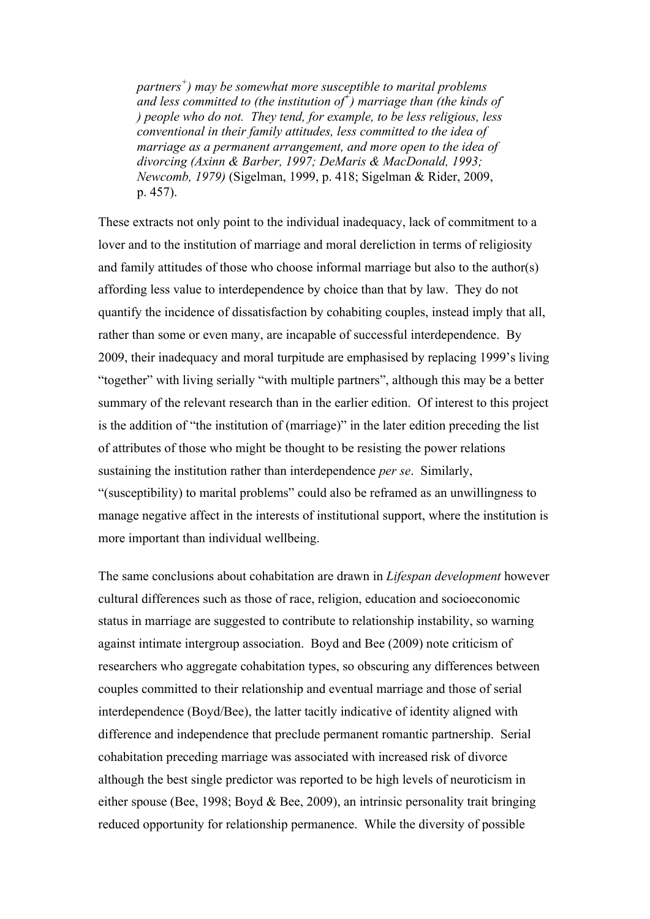*partners<sup>+</sup> ) may be somewhat more susceptible to marital problems*  <sup>*and less committed to (the institution of*<sup>†</sup>) marriage than (the kinds of</sup> *) people who do not. They tend, for example, to be less religious, less conventional in their family attitudes, less committed to the idea of marriage as a permanent arrangement, and more open to the idea of divorcing (Axinn & Barber, 1997; DeMaris & MacDonald, 1993; Newcomb, 1979)* (Sigelman, 1999, p. 418; Sigelman & Rider, 2009, p. 457).

These extracts not only point to the individual inadequacy, lack of commitment to a lover and to the institution of marriage and moral dereliction in terms of religiosity and family attitudes of those who choose informal marriage but also to the author(s) affording less value to interdependence by choice than that by law. They do not quantify the incidence of dissatisfaction by cohabiting couples, instead imply that all, rather than some or even many, are incapable of successful interdependence. By 2009, their inadequacy and moral turpitude are emphasised by replacing 1999's living "together" with living serially "with multiple partners", although this may be a better summary of the relevant research than in the earlier edition. Of interest to this project is the addition of "the institution of (marriage)" in the later edition preceding the list of attributes of those who might be thought to be resisting the power relations sustaining the institution rather than interdependence *per se*. Similarly, "(susceptibility) to marital problems" could also be reframed as an unwillingness to manage negative affect in the interests of institutional support, where the institution is more important than individual wellbeing.

The same conclusions about cohabitation are drawn in *Lifespan development* however cultural differences such as those of race, religion, education and socioeconomic status in marriage are suggested to contribute to relationship instability, so warning against intimate intergroup association. Boyd and Bee (2009) note criticism of researchers who aggregate cohabitation types, so obscuring any differences between couples committed to their relationship and eventual marriage and those of serial interdependence (Boyd/Bee), the latter tacitly indicative of identity aligned with difference and independence that preclude permanent romantic partnership. Serial cohabitation preceding marriage was associated with increased risk of divorce although the best single predictor was reported to be high levels of neuroticism in either spouse (Bee, 1998; Boyd & Bee, 2009), an intrinsic personality trait bringing reduced opportunity for relationship permanence. While the diversity of possible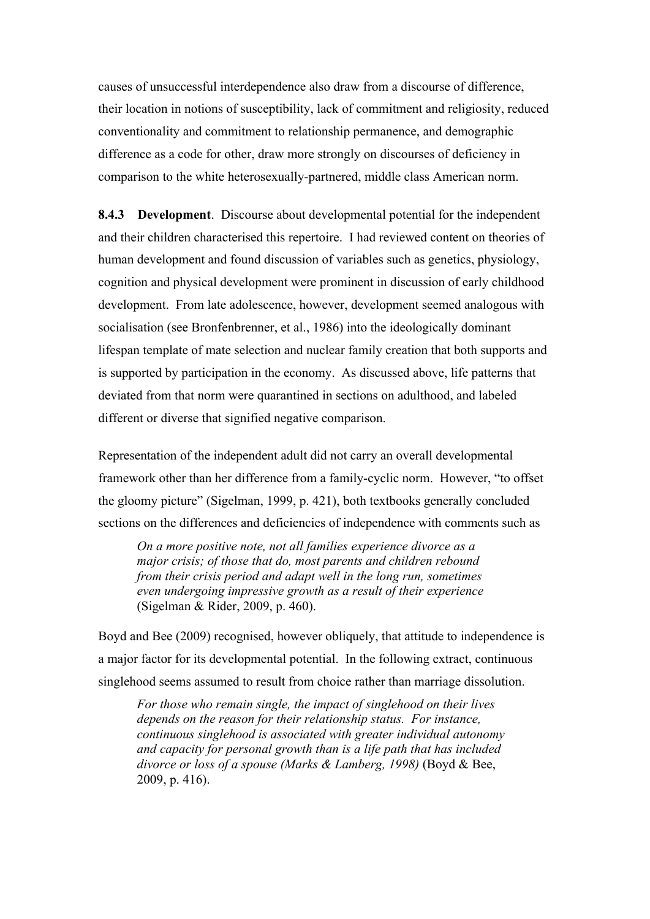causes of unsuccessful interdependence also draw from a discourse of difference, their location in notions of susceptibility, lack of commitment and religiosity, reduced conventionality and commitment to relationship permanence, and demographic difference as a code for other, draw more strongly on discourses of deficiency in comparison to the white heterosexually-partnered, middle class American norm.

**8.4.3 Development**. Discourse about developmental potential for the independent and their children characterised this repertoire. I had reviewed content on theories of human development and found discussion of variables such as genetics, physiology, cognition and physical development were prominent in discussion of early childhood development. From late adolescence, however, development seemed analogous with socialisation (see Bronfenbrenner, et al., 1986) into the ideologically dominant lifespan template of mate selection and nuclear family creation that both supports and is supported by participation in the economy. As discussed above, life patterns that deviated from that norm were quarantined in sections on adulthood, and labeled different or diverse that signified negative comparison.

Representation of the independent adult did not carry an overall developmental framework other than her difference from a family-cyclic norm. However, "to offset the gloomy picture" (Sigelman, 1999, p. 421), both textbooks generally concluded sections on the differences and deficiencies of independence with comments such as

*On a more positive note, not all families experience divorce as a major crisis; of those that do, most parents and children rebound from their crisis period and adapt well in the long run, sometimes even undergoing impressive growth as a result of their experience* (Sigelman & Rider, 2009, p. 460).

Boyd and Bee (2009) recognised, however obliquely, that attitude to independence is a major factor for its developmental potential. In the following extract, continuous singlehood seems assumed to result from choice rather than marriage dissolution.

*For those who remain single, the impact of singlehood on their lives depends on the reason for their relationship status. For instance, continuous singlehood is associated with greater individual autonomy and capacity for personal growth than is a life path that has included divorce or loss of a spouse (Marks & Lamberg, 1998)* (Boyd & Bee, 2009, p. 416).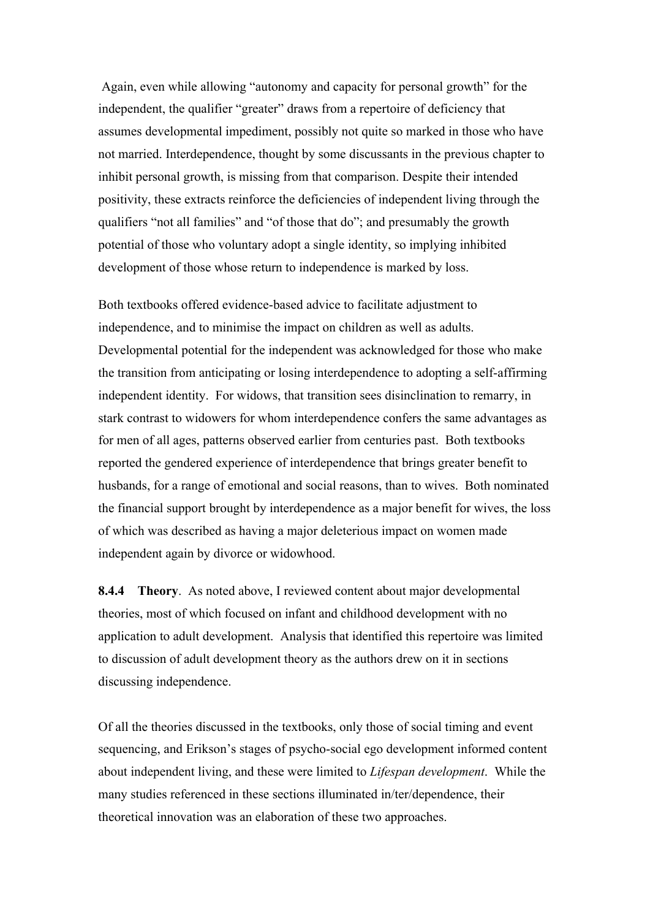Again, even while allowing "autonomy and capacity for personal growth" for the independent, the qualifier "greater" draws from a repertoire of deficiency that assumes developmental impediment, possibly not quite so marked in those who have not married. Interdependence, thought by some discussants in the previous chapter to inhibit personal growth, is missing from that comparison. Despite their intended positivity, these extracts reinforce the deficiencies of independent living through the qualifiers "not all families" and "of those that do"; and presumably the growth potential of those who voluntary adopt a single identity, so implying inhibited development of those whose return to independence is marked by loss.

Both textbooks offered evidence-based advice to facilitate adjustment to independence, and to minimise the impact on children as well as adults. Developmental potential for the independent was acknowledged for those who make the transition from anticipating or losing interdependence to adopting a self-affirming independent identity. For widows, that transition sees disinclination to remarry, in stark contrast to widowers for whom interdependence confers the same advantages as for men of all ages, patterns observed earlier from centuries past. Both textbooks reported the gendered experience of interdependence that brings greater benefit to husbands, for a range of emotional and social reasons, than to wives. Both nominated the financial support brought by interdependence as a major benefit for wives, the loss of which was described as having a major deleterious impact on women made independent again by divorce or widowhood.

**8.4.4 Theory**. As noted above, I reviewed content about major developmental theories, most of which focused on infant and childhood development with no application to adult development. Analysis that identified this repertoire was limited to discussion of adult development theory as the authors drew on it in sections discussing independence.

Of all the theories discussed in the textbooks, only those of social timing and event sequencing, and Erikson's stages of psycho-social ego development informed content about independent living, and these were limited to *Lifespan development*. While the many studies referenced in these sections illuminated in/ter/dependence, their theoretical innovation was an elaboration of these two approaches.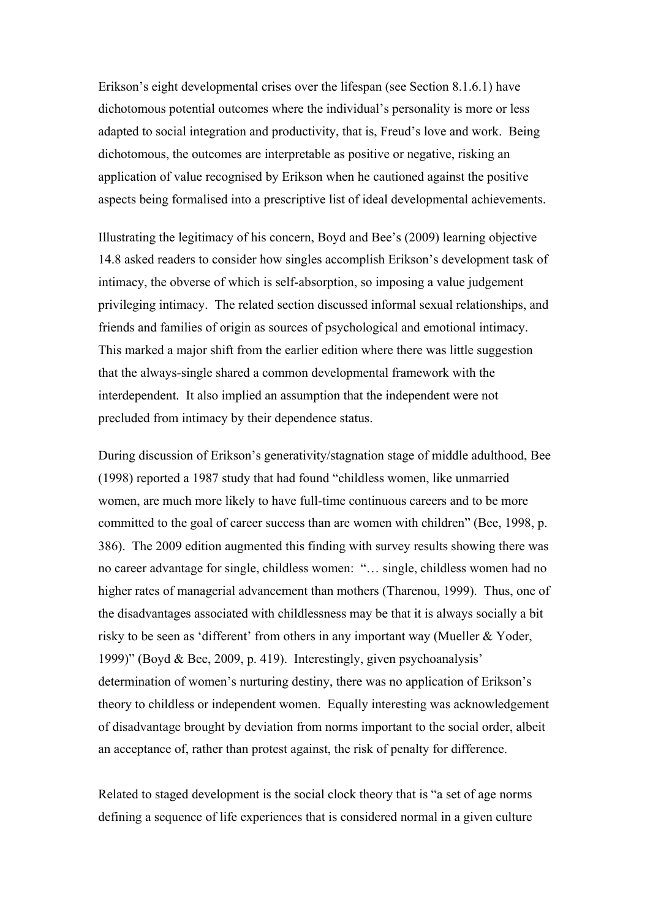Erikson's eight developmental crises over the lifespan (see Section 8.1.6.1) have dichotomous potential outcomes where the individual's personality is more or less adapted to social integration and productivity, that is, Freud's love and work. Being dichotomous, the outcomes are interpretable as positive or negative, risking an application of value recognised by Erikson when he cautioned against the positive aspects being formalised into a prescriptive list of ideal developmental achievements.

Illustrating the legitimacy of his concern, Boyd and Bee's (2009) learning objective 14.8 asked readers to consider how singles accomplish Erikson's development task of intimacy, the obverse of which is self-absorption, so imposing a value judgement privileging intimacy. The related section discussed informal sexual relationships, and friends and families of origin as sources of psychological and emotional intimacy. This marked a major shift from the earlier edition where there was little suggestion that the always-single shared a common developmental framework with the interdependent. It also implied an assumption that the independent were not precluded from intimacy by their dependence status.

During discussion of Erikson's generativity/stagnation stage of middle adulthood, Bee (1998) reported a 1987 study that had found "childless women, like unmarried women, are much more likely to have full-time continuous careers and to be more committed to the goal of career success than are women with children" (Bee, 1998, p. 386). The 2009 edition augmented this finding with survey results showing there was no career advantage for single, childless women: "… single, childless women had no higher rates of managerial advancement than mothers (Tharenou, 1999). Thus, one of the disadvantages associated with childlessness may be that it is always socially a bit risky to be seen as 'different' from others in any important way (Mueller & Yoder, 1999)" (Boyd & Bee, 2009, p. 419). Interestingly, given psychoanalysis' determination of women's nurturing destiny, there was no application of Erikson's theory to childless or independent women. Equally interesting was acknowledgement of disadvantage brought by deviation from norms important to the social order, albeit an acceptance of, rather than protest against, the risk of penalty for difference.

Related to staged development is the social clock theory that is "a set of age norms defining a sequence of life experiences that is considered normal in a given culture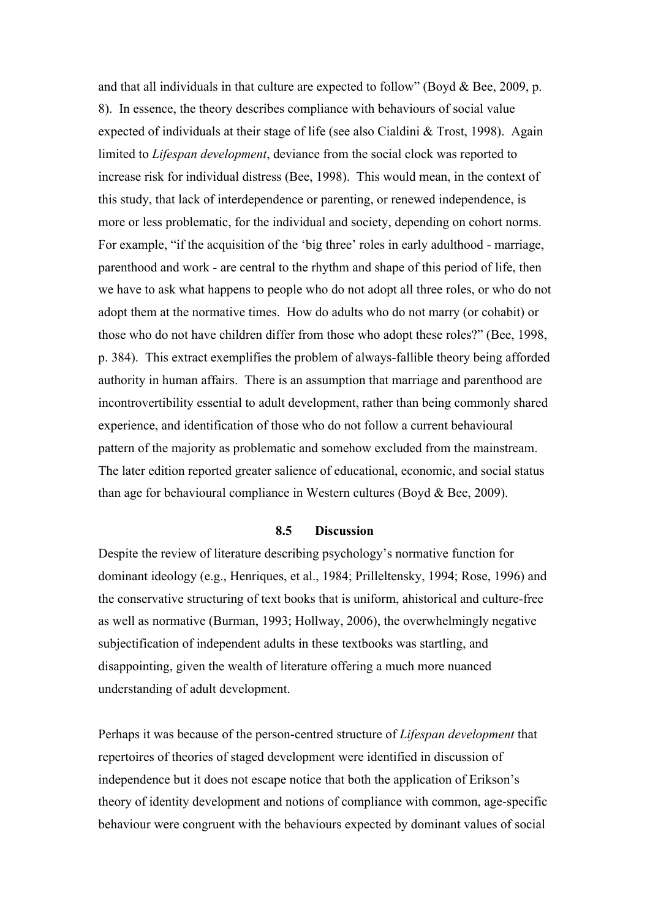and that all individuals in that culture are expected to follow" (Boyd  $&$  Bee, 2009, p. 8). In essence, the theory describes compliance with behaviours of social value expected of individuals at their stage of life (see also Cialdini & Trost, 1998). Again limited to *Lifespan development*, deviance from the social clock was reported to increase risk for individual distress (Bee, 1998). This would mean, in the context of this study, that lack of interdependence or parenting, or renewed independence, is more or less problematic, for the individual and society, depending on cohort norms. For example, "if the acquisition of the 'big three' roles in early adulthood - marriage, parenthood and work - are central to the rhythm and shape of this period of life, then we have to ask what happens to people who do not adopt all three roles, or who do not adopt them at the normative times. How do adults who do not marry (or cohabit) or those who do not have children differ from those who adopt these roles?" (Bee, 1998, p. 384). This extract exemplifies the problem of always-fallible theory being afforded authority in human affairs. There is an assumption that marriage and parenthood are incontrovertibility essential to adult development, rather than being commonly shared experience, and identification of those who do not follow a current behavioural pattern of the majority as problematic and somehow excluded from the mainstream. The later edition reported greater salience of educational, economic, and social status than age for behavioural compliance in Western cultures (Boyd & Bee, 2009).

## **8.5 Discussion**

Despite the review of literature describing psychology's normative function for dominant ideology (e.g., Henriques, et al., 1984; Prilleltensky, 1994; Rose, 1996) and the conservative structuring of text books that is uniform, ahistorical and culture-free as well as normative (Burman, 1993; Hollway, 2006), the overwhelmingly negative subjectification of independent adults in these textbooks was startling, and disappointing, given the wealth of literature offering a much more nuanced understanding of adult development.

Perhaps it was because of the person-centred structure of *Lifespan development* that repertoires of theories of staged development were identified in discussion of independence but it does not escape notice that both the application of Erikson's theory of identity development and notions of compliance with common, age-specific behaviour were congruent with the behaviours expected by dominant values of social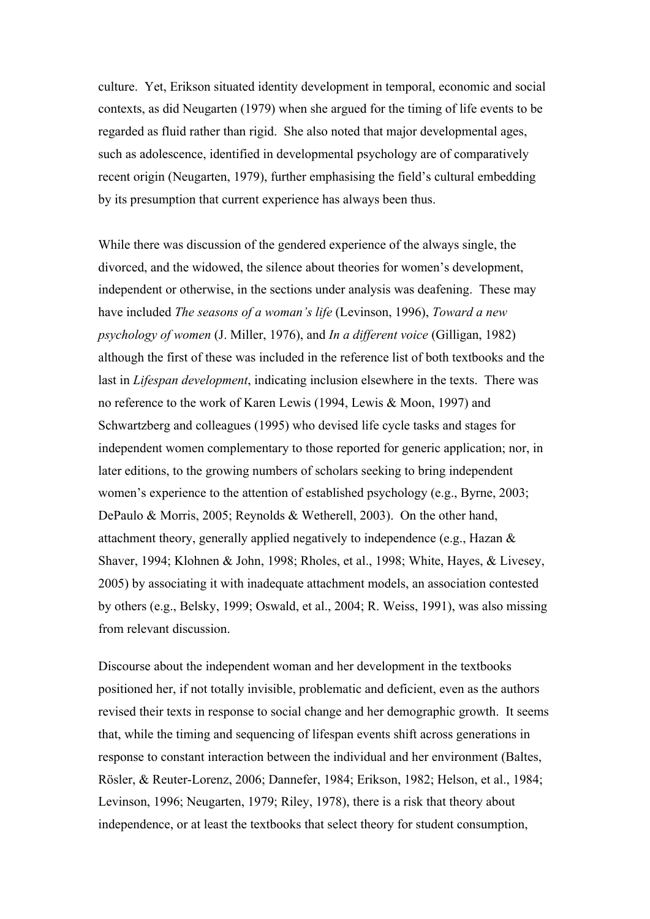culture. Yet, Erikson situated identity development in temporal, economic and social contexts, as did Neugarten (1979) when she argued for the timing of life events to be regarded as fluid rather than rigid. She also noted that major developmental ages, such as adolescence, identified in developmental psychology are of comparatively recent origin (Neugarten, 1979), further emphasising the field's cultural embedding by its presumption that current experience has always been thus.

While there was discussion of the gendered experience of the always single, the divorced, and the widowed, the silence about theories for women's development, independent or otherwise, in the sections under analysis was deafening. These may have included *The seasons of a woman's life* (Levinson, 1996), *Toward a new psychology of women* (J. Miller, 1976), and *In a different voice* (Gilligan, 1982) although the first of these was included in the reference list of both textbooks and the last in *Lifespan development*, indicating inclusion elsewhere in the texts. There was no reference to the work of Karen Lewis (1994, Lewis & Moon, 1997) and Schwartzberg and colleagues (1995) who devised life cycle tasks and stages for independent women complementary to those reported for generic application; nor, in later editions, to the growing numbers of scholars seeking to bring independent women's experience to the attention of established psychology (e.g., Byrne, 2003; DePaulo & Morris, 2005; Reynolds & Wetherell, 2003). On the other hand, attachment theory, generally applied negatively to independence (e.g., Hazan & Shaver, 1994; Klohnen & John, 1998; Rholes, et al., 1998; White, Hayes, & Livesey, 2005) by associating it with inadequate attachment models, an association contested by others (e.g., Belsky, 1999; Oswald, et al., 2004; R. Weiss, 1991), was also missing from relevant discussion.

Discourse about the independent woman and her development in the textbooks positioned her, if not totally invisible, problematic and deficient, even as the authors revised their texts in response to social change and her demographic growth. It seems that, while the timing and sequencing of lifespan events shift across generations in response to constant interaction between the individual and her environment (Baltes, Rösler, & Reuter-Lorenz, 2006; Dannefer, 1984; Erikson, 1982; Helson, et al., 1984; Levinson, 1996; Neugarten, 1979; Riley, 1978), there is a risk that theory about independence, or at least the textbooks that select theory for student consumption,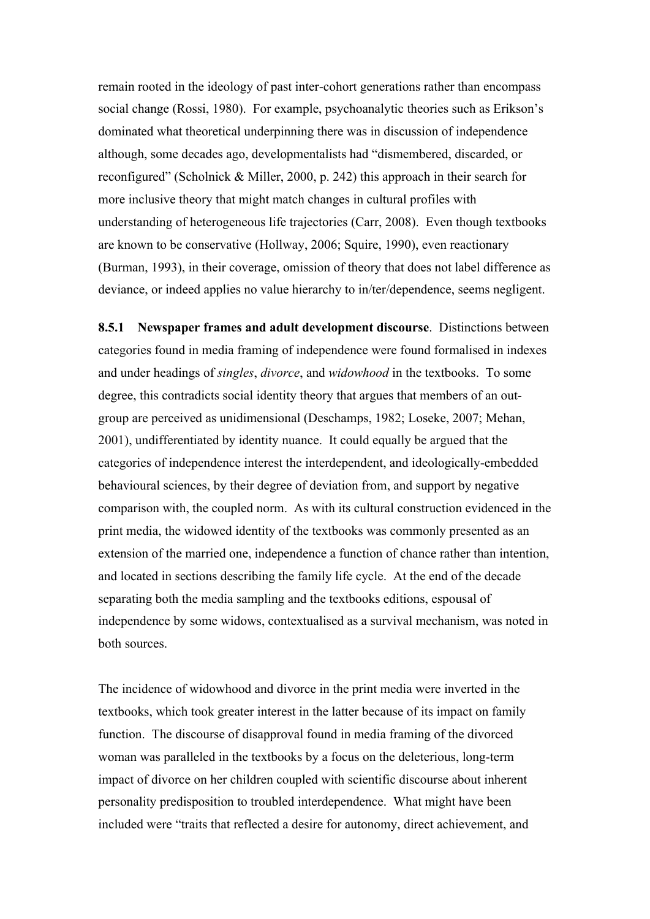remain rooted in the ideology of past inter-cohort generations rather than encompass social change (Rossi, 1980). For example, psychoanalytic theories such as Erikson's dominated what theoretical underpinning there was in discussion of independence although, some decades ago, developmentalists had "dismembered, discarded, or reconfigured" (Scholnick & Miller, 2000, p. 242) this approach in their search for more inclusive theory that might match changes in cultural profiles with understanding of heterogeneous life trajectories (Carr, 2008). Even though textbooks are known to be conservative (Hollway, 2006; Squire, 1990), even reactionary (Burman, 1993), in their coverage, omission of theory that does not label difference as deviance, or indeed applies no value hierarchy to in/ter/dependence, seems negligent.

**8.5.1 Newspaper frames and adult development discourse**. Distinctions between categories found in media framing of independence were found formalised in indexes and under headings of *singles*, *divorce*, and *widowhood* in the textbooks. To some degree, this contradicts social identity theory that argues that members of an outgroup are perceived as unidimensional (Deschamps, 1982; Loseke, 2007; Mehan, 2001), undifferentiated by identity nuance. It could equally be argued that the categories of independence interest the interdependent, and ideologically-embedded behavioural sciences, by their degree of deviation from, and support by negative comparison with, the coupled norm. As with its cultural construction evidenced in the print media, the widowed identity of the textbooks was commonly presented as an extension of the married one, independence a function of chance rather than intention, and located in sections describing the family life cycle. At the end of the decade separating both the media sampling and the textbooks editions, espousal of independence by some widows, contextualised as a survival mechanism, was noted in both sources.

The incidence of widowhood and divorce in the print media were inverted in the textbooks, which took greater interest in the latter because of its impact on family function. The discourse of disapproval found in media framing of the divorced woman was paralleled in the textbooks by a focus on the deleterious, long-term impact of divorce on her children coupled with scientific discourse about inherent personality predisposition to troubled interdependence. What might have been included were "traits that reflected a desire for autonomy, direct achievement, and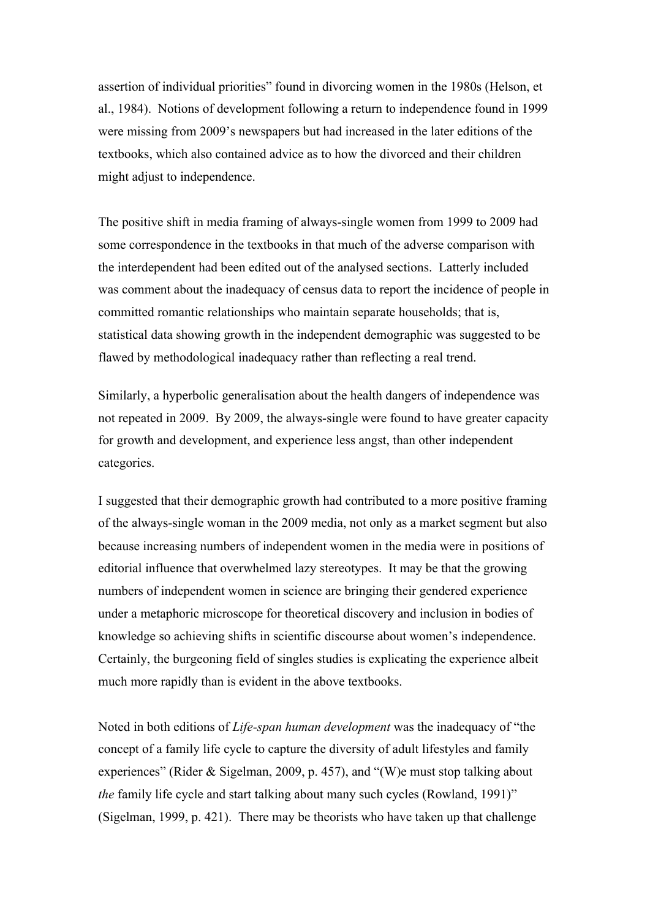assertion of individual priorities" found in divorcing women in the 1980s (Helson, et al., 1984). Notions of development following a return to independence found in 1999 were missing from 2009's newspapers but had increased in the later editions of the textbooks, which also contained advice as to how the divorced and their children might adjust to independence.

The positive shift in media framing of always-single women from 1999 to 2009 had some correspondence in the textbooks in that much of the adverse comparison with the interdependent had been edited out of the analysed sections. Latterly included was comment about the inadequacy of census data to report the incidence of people in committed romantic relationships who maintain separate households; that is, statistical data showing growth in the independent demographic was suggested to be flawed by methodological inadequacy rather than reflecting a real trend.

Similarly, a hyperbolic generalisation about the health dangers of independence was not repeated in 2009. By 2009, the always-single were found to have greater capacity for growth and development, and experience less angst, than other independent categories.

I suggested that their demographic growth had contributed to a more positive framing of the always-single woman in the 2009 media, not only as a market segment but also because increasing numbers of independent women in the media were in positions of editorial influence that overwhelmed lazy stereotypes. It may be that the growing numbers of independent women in science are bringing their gendered experience under a metaphoric microscope for theoretical discovery and inclusion in bodies of knowledge so achieving shifts in scientific discourse about women's independence. Certainly, the burgeoning field of singles studies is explicating the experience albeit much more rapidly than is evident in the above textbooks.

Noted in both editions of *Life-span human development* was the inadequacy of "the concept of a family life cycle to capture the diversity of adult lifestyles and family experiences" (Rider & Sigelman, 2009, p. 457), and "(W)e must stop talking about *the* family life cycle and start talking about many such cycles (Rowland, 1991)" (Sigelman, 1999, p. 421). There may be theorists who have taken up that challenge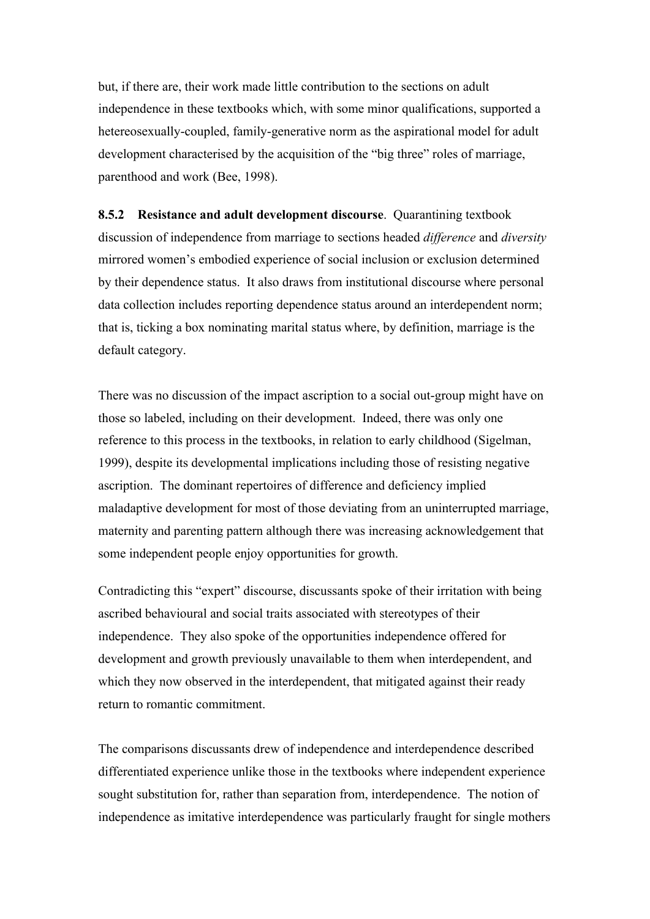but, if there are, their work made little contribution to the sections on adult independence in these textbooks which, with some minor qualifications, supported a hetereosexually-coupled, family-generative norm as the aspirational model for adult development characterised by the acquisition of the "big three" roles of marriage, parenthood and work (Bee, 1998).

**8.5.2 Resistance and adult development discourse**. Quarantining textbook discussion of independence from marriage to sections headed *difference* and *diversity* mirrored women's embodied experience of social inclusion or exclusion determined by their dependence status. It also draws from institutional discourse where personal data collection includes reporting dependence status around an interdependent norm; that is, ticking a box nominating marital status where, by definition, marriage is the default category.

There was no discussion of the impact ascription to a social out-group might have on those so labeled, including on their development. Indeed, there was only one reference to this process in the textbooks, in relation to early childhood (Sigelman, 1999), despite its developmental implications including those of resisting negative ascription. The dominant repertoires of difference and deficiency implied maladaptive development for most of those deviating from an uninterrupted marriage, maternity and parenting pattern although there was increasing acknowledgement that some independent people enjoy opportunities for growth.

Contradicting this "expert" discourse, discussants spoke of their irritation with being ascribed behavioural and social traits associated with stereotypes of their independence. They also spoke of the opportunities independence offered for development and growth previously unavailable to them when interdependent, and which they now observed in the interdependent, that mitigated against their ready return to romantic commitment.

The comparisons discussants drew of independence and interdependence described differentiated experience unlike those in the textbooks where independent experience sought substitution for, rather than separation from, interdependence. The notion of independence as imitative interdependence was particularly fraught for single mothers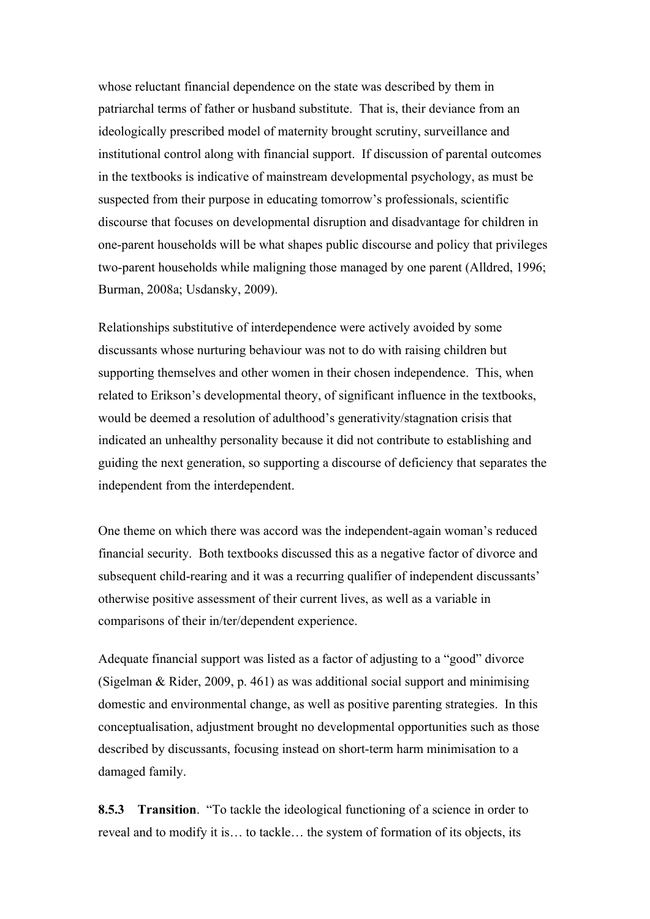whose reluctant financial dependence on the state was described by them in patriarchal terms of father or husband substitute. That is, their deviance from an ideologically prescribed model of maternity brought scrutiny, surveillance and institutional control along with financial support. If discussion of parental outcomes in the textbooks is indicative of mainstream developmental psychology, as must be suspected from their purpose in educating tomorrow's professionals, scientific discourse that focuses on developmental disruption and disadvantage for children in one-parent households will be what shapes public discourse and policy that privileges two-parent households while maligning those managed by one parent (Alldred, 1996; Burman, 2008a; Usdansky, 2009).

Relationships substitutive of interdependence were actively avoided by some discussants whose nurturing behaviour was not to do with raising children but supporting themselves and other women in their chosen independence. This, when related to Erikson's developmental theory, of significant influence in the textbooks, would be deemed a resolution of adulthood's generativity/stagnation crisis that indicated an unhealthy personality because it did not contribute to establishing and guiding the next generation, so supporting a discourse of deficiency that separates the independent from the interdependent.

One theme on which there was accord was the independent-again woman's reduced financial security. Both textbooks discussed this as a negative factor of divorce and subsequent child-rearing and it was a recurring qualifier of independent discussants' otherwise positive assessment of their current lives, as well as a variable in comparisons of their in/ter/dependent experience.

Adequate financial support was listed as a factor of adjusting to a "good" divorce (Sigelman & Rider, 2009, p. 461) as was additional social support and minimising domestic and environmental change, as well as positive parenting strategies. In this conceptualisation, adjustment brought no developmental opportunities such as those described by discussants, focusing instead on short-term harm minimisation to a damaged family.

**8.5.3 Transition**. "To tackle the ideological functioning of a science in order to reveal and to modify it is… to tackle… the system of formation of its objects, its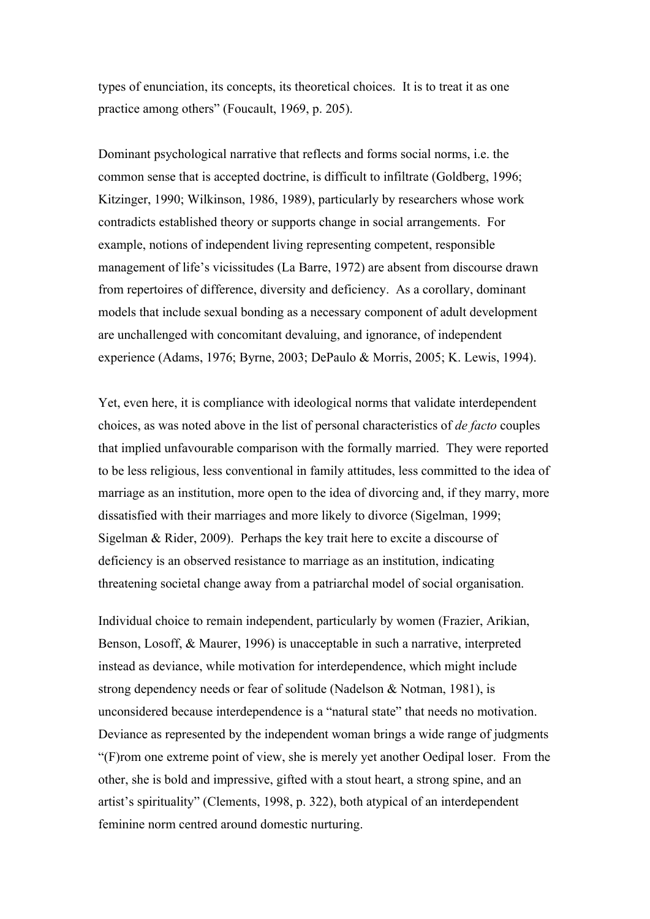types of enunciation, its concepts, its theoretical choices. It is to treat it as one practice among others" (Foucault, 1969, p. 205).

Dominant psychological narrative that reflects and forms social norms, i.e. the common sense that is accepted doctrine, is difficult to infiltrate (Goldberg, 1996; Kitzinger, 1990; Wilkinson, 1986, 1989), particularly by researchers whose work contradicts established theory or supports change in social arrangements. For example, notions of independent living representing competent, responsible management of life's vicissitudes (La Barre, 1972) are absent from discourse drawn from repertoires of difference, diversity and deficiency. As a corollary, dominant models that include sexual bonding as a necessary component of adult development are unchallenged with concomitant devaluing, and ignorance, of independent experience (Adams, 1976; Byrne, 2003; DePaulo & Morris, 2005; K. Lewis, 1994).

Yet, even here, it is compliance with ideological norms that validate interdependent choices, as was noted above in the list of personal characteristics of *de facto* couples that implied unfavourable comparison with the formally married. They were reported to be less religious, less conventional in family attitudes, less committed to the idea of marriage as an institution, more open to the idea of divorcing and, if they marry, more dissatisfied with their marriages and more likely to divorce (Sigelman, 1999; Sigelman & Rider, 2009). Perhaps the key trait here to excite a discourse of deficiency is an observed resistance to marriage as an institution, indicating threatening societal change away from a patriarchal model of social organisation.

Individual choice to remain independent, particularly by women (Frazier, Arikian, Benson, Losoff, & Maurer, 1996) is unacceptable in such a narrative, interpreted instead as deviance, while motivation for interdependence, which might include strong dependency needs or fear of solitude (Nadelson & Notman, 1981), is unconsidered because interdependence is a "natural state" that needs no motivation. Deviance as represented by the independent woman brings a wide range of judgments "(F)rom one extreme point of view, she is merely yet another Oedipal loser. From the other, she is bold and impressive, gifted with a stout heart, a strong spine, and an artist's spirituality" (Clements, 1998, p. 322), both atypical of an interdependent feminine norm centred around domestic nurturing.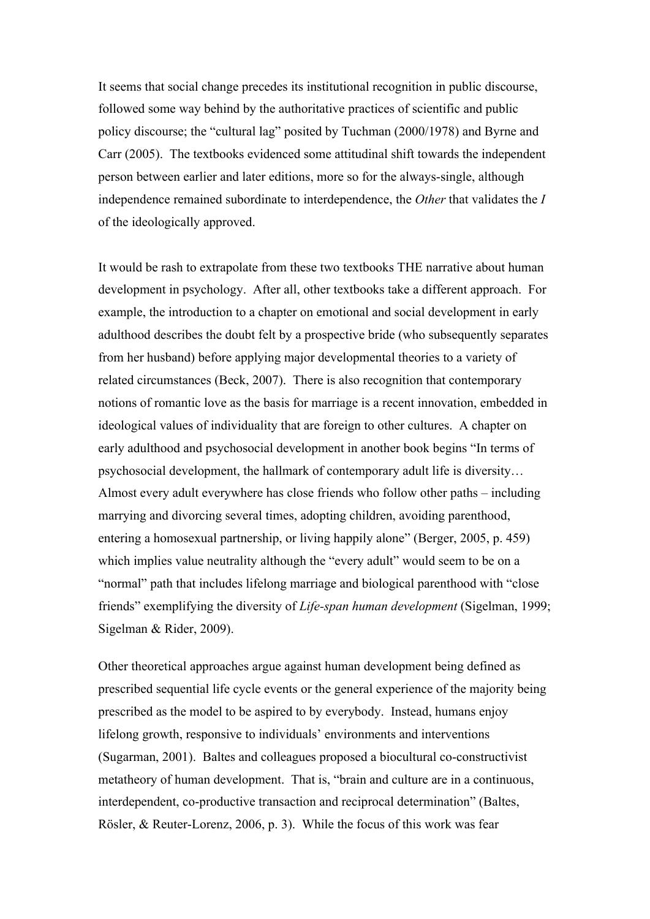It seems that social change precedes its institutional recognition in public discourse, followed some way behind by the authoritative practices of scientific and public policy discourse; the "cultural lag" posited by Tuchman (2000/1978) and Byrne and Carr (2005). The textbooks evidenced some attitudinal shift towards the independent person between earlier and later editions, more so for the always-single, although independence remained subordinate to interdependence, the *Other* that validates the *I* of the ideologically approved.

It would be rash to extrapolate from these two textbooks THE narrative about human development in psychology. After all, other textbooks take a different approach. For example, the introduction to a chapter on emotional and social development in early adulthood describes the doubt felt by a prospective bride (who subsequently separates from her husband) before applying major developmental theories to a variety of related circumstances (Beck, 2007). There is also recognition that contemporary notions of romantic love as the basis for marriage is a recent innovation, embedded in ideological values of individuality that are foreign to other cultures. A chapter on early adulthood and psychosocial development in another book begins "In terms of psychosocial development, the hallmark of contemporary adult life is diversity… Almost every adult everywhere has close friends who follow other paths – including marrying and divorcing several times, adopting children, avoiding parenthood, entering a homosexual partnership, or living happily alone" (Berger, 2005, p. 459) which implies value neutrality although the "every adult" would seem to be on a "normal" path that includes lifelong marriage and biological parenthood with "close friends" exemplifying the diversity of *Life-span human development* (Sigelman, 1999; Sigelman & Rider, 2009).

Other theoretical approaches argue against human development being defined as prescribed sequential life cycle events or the general experience of the majority being prescribed as the model to be aspired to by everybody. Instead, humans enjoy lifelong growth, responsive to individuals' environments and interventions (Sugarman, 2001). Baltes and colleagues proposed a biocultural co-constructivist metatheory of human development. That is, "brain and culture are in a continuous, interdependent, co-productive transaction and reciprocal determination" (Baltes, Rösler, & Reuter-Lorenz, 2006, p. 3). While the focus of this work was fear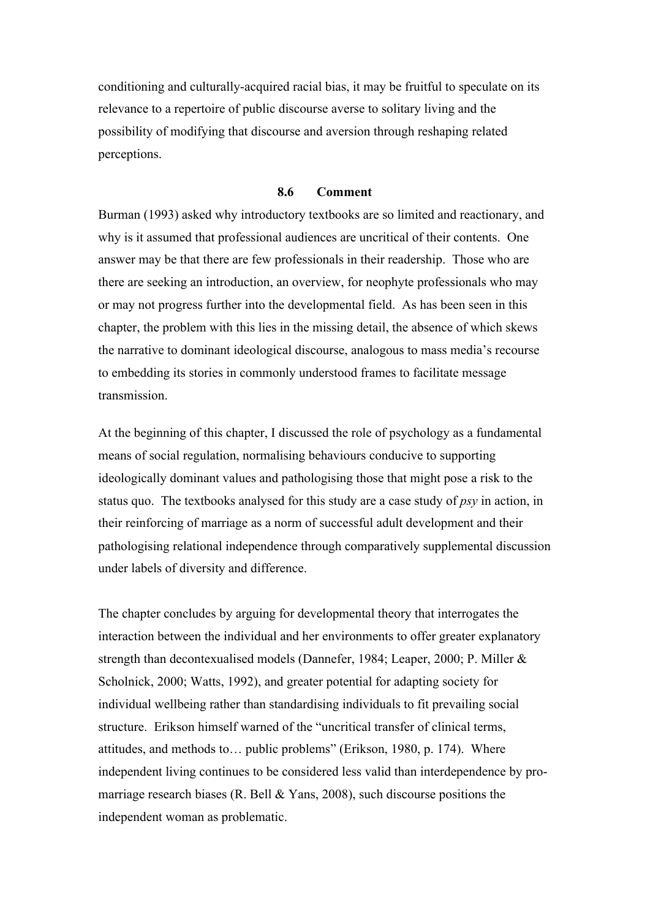conditioning and culturally-acquired racial bias, it may be fruitful to speculate on its relevance to a repertoire of public discourse averse to solitary living and the possibility of modifying that discourse and aversion through reshaping related perceptions.

# **8.6 Comment**

Burman (1993) asked why introductory textbooks are so limited and reactionary, and why is it assumed that professional audiences are uncritical of their contents. One answer may be that there are few professionals in their readership. Those who are there are seeking an introduction, an overview, for neophyte professionals who may or may not progress further into the developmental field. As has been seen in this chapter, the problem with this lies in the missing detail, the absence of which skews the narrative to dominant ideological discourse, analogous to mass media's recourse to embedding its stories in commonly understood frames to facilitate message transmission.

At the beginning of this chapter, I discussed the role of psychology as a fundamental means of social regulation, normalising behaviours conducive to supporting ideologically dominant values and pathologising those that might pose a risk to the status quo. The textbooks analysed for this study are a case study of *psy* in action, in their reinforcing of marriage as a norm of successful adult development and their pathologising relational independence through comparatively supplemental discussion under labels of diversity and difference.

The chapter concludes by arguing for developmental theory that interrogates the interaction between the individual and her environments to offer greater explanatory strength than decontexualised models (Dannefer, 1984; Leaper, 2000; P. Miller & Scholnick, 2000; Watts, 1992), and greater potential for adapting society for individual wellbeing rather than standardising individuals to fit prevailing social structure. Erikson himself warned of the "uncritical transfer of clinical terms, attitudes, and methods to… public problems" (Erikson, 1980, p. 174). Where independent living continues to be considered less valid than interdependence by promarriage research biases (R. Bell & Yans, 2008), such discourse positions the independent woman as problematic.